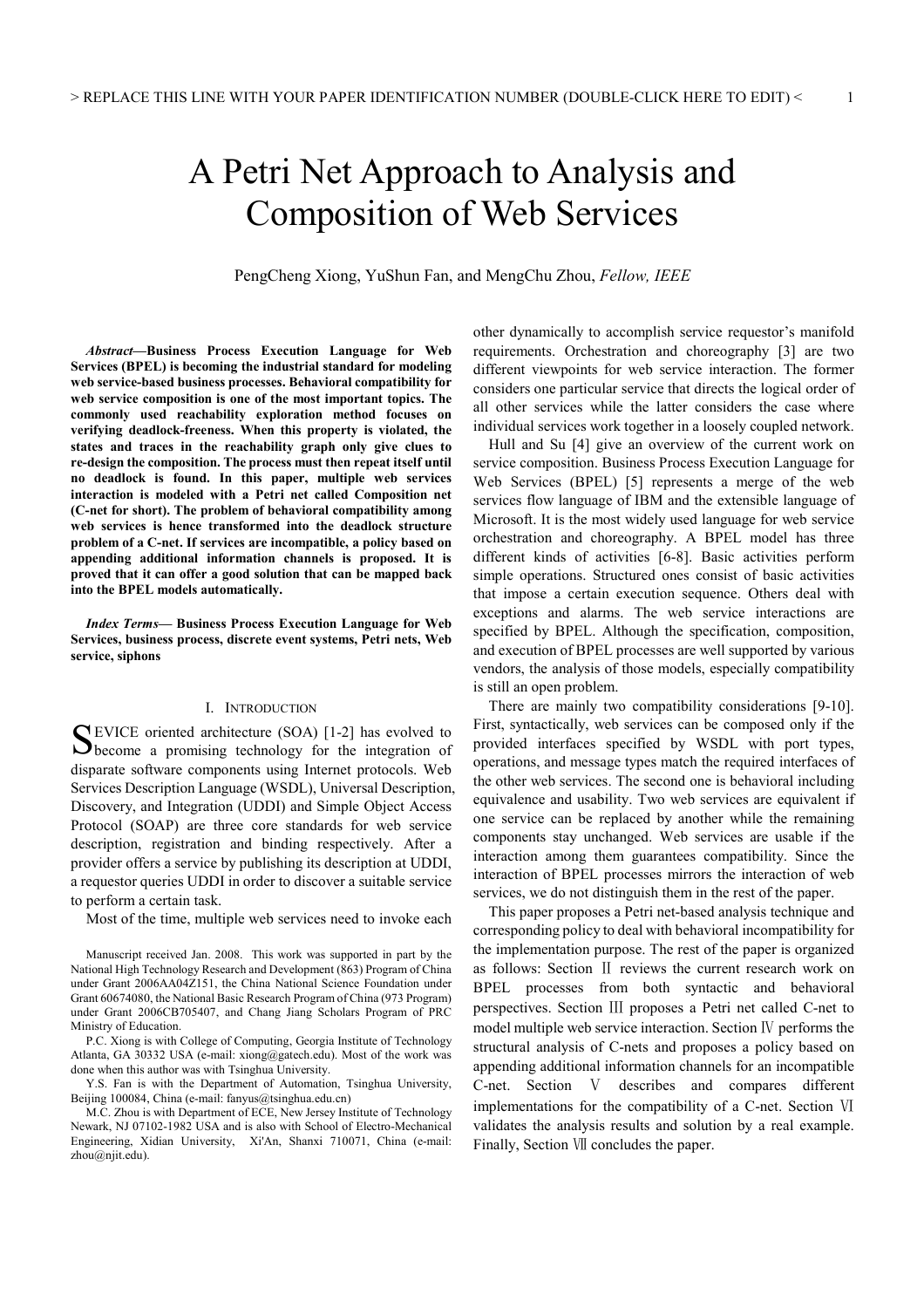# A Petri Net Approach to Analysis and Composition of Web Services

PengCheng Xiong, YuShun Fan, and MengChu Zhou, *Fellow, IEEE*

*Abstract***—Business Process Execution Language for Web Services (BPEL) is becoming the industrial standard for modeling web service-based business processes. Behavioral compatibility for web service composition is one of the most important topics. The commonly used reachability exploration method focuses on verifying deadlock-freeness. When this property is violated, the states and traces in the reachability graph only give clues to re-design the composition. The process must then repeat itself until no deadlock is found. In this paper, multiple web services interaction is modeled with a Petri net called Composition net (C-net for short). The problem of behavioral compatibility among web services is hence transformed into the deadlock structure problem of a C-net. If services are incompatible, a policy based on appending additional information channels is proposed. It is proved that it can offer a good solution that can be mapped back into the BPEL models automatically.** 

*Index Terms***— Business Process Execution Language for Web Services, business process, discrete event systems, Petri nets, Web service, siphons** 

# I. INTRODUCTION

EVICE oriented architecture (SOA) [1-2] has evolved to SEVICE oriented architecture (SOA) [1-2] has evolved to become a promising technology for the integration of disparate software components using Internet protocols. Web Services Description Language (WSDL), Universal Description, Discovery, and Integration (UDDI) and Simple Object Access Protocol (SOAP) are three core standards for web service description, registration and binding respectively. After a provider offers a service by publishing its description at UDDI, a requestor queries UDDI in order to discover a suitable service to perform a certain task.

Most of the time, multiple web services need to invoke each

P.C. Xiong is with College of Computing, Georgia Institute of Technology Atlanta, GA 30332 USA (e-mail: xiong@gatech.edu). Most of the work was done when this author was with Tsinghua University.

Y.S. Fan is with the Department of Automation, Tsinghua University, Beijing 100084, China (e-mail: fanyus@tsinghua.edu.cn)

M.C. Zhou is with Department of ECE, New Jersey Institute of Technology Newark, NJ 07102-1982 USA and is also with School of Electro-Mechanical Engineering, Xidian University, Xi'An, Shanxi 710071, China (e-mail: zhou@njit.edu).

other dynamically to accomplish service requestor's manifold requirements. Orchestration and choreography [3] are two different viewpoints for web service interaction. The former considers one particular service that directs the logical order of all other services while the latter considers the case where individual services work together in a loosely coupled network.

Hull and Su [4] give an overview of the current work on service composition. Business Process Execution Language for Web Services (BPEL) [5] represents a merge of the web services flow language of IBM and the extensible language of Microsoft. It is the most widely used language for web service orchestration and choreography. A BPEL model has three different kinds of activities [6-8]. Basic activities perform simple operations. Structured ones consist of basic activities that impose a certain execution sequence. Others deal with exceptions and alarms. The web service interactions are specified by BPEL. Although the specification, composition, and execution of BPEL processes are well supported by various vendors, the analysis of those models, especially compatibility is still an open problem.

There are mainly two compatibility considerations [9-10]. First, syntactically, web services can be composed only if the provided interfaces specified by WSDL with port types, operations, and message types match the required interfaces of the other web services. The second one is behavioral including equivalence and usability. Two web services are equivalent if one service can be replaced by another while the remaining components stay unchanged. Web services are usable if the interaction among them guarantees compatibility. Since the interaction of BPEL processes mirrors the interaction of web services, we do not distinguish them in the rest of the paper.

This paper proposes a Petri net-based analysis technique and corresponding policy to deal with behavioral incompatibility for the implementation purpose. The rest of the paper is organized as follows: Section Ⅱ reviews the current research work on BPEL processes from both syntactic and behavioral perspectives. Section Ⅲ proposes a Petri net called C-net to model multiple web service interaction. Section Ⅳ performs the structural analysis of C-nets and proposes a policy based on appending additional information channels for an incompatible C-net. Section Ⅴ describes and compares different implementations for the compatibility of a C-net. Section Ⅵ validates the analysis results and solution by a real example. Finally, Section Ⅶ concludes the paper.

Manuscript received Jan. 2008. This work was supported in part by the National High Technology Research and Development (863) Program of China under Grant 2006AA04Z151, the China National Science Foundation under Grant 60674080, the National Basic Research Program of China (973 Program) under Grant 2006CB705407, and Chang Jiang Scholars Program of PRC Ministry of Education.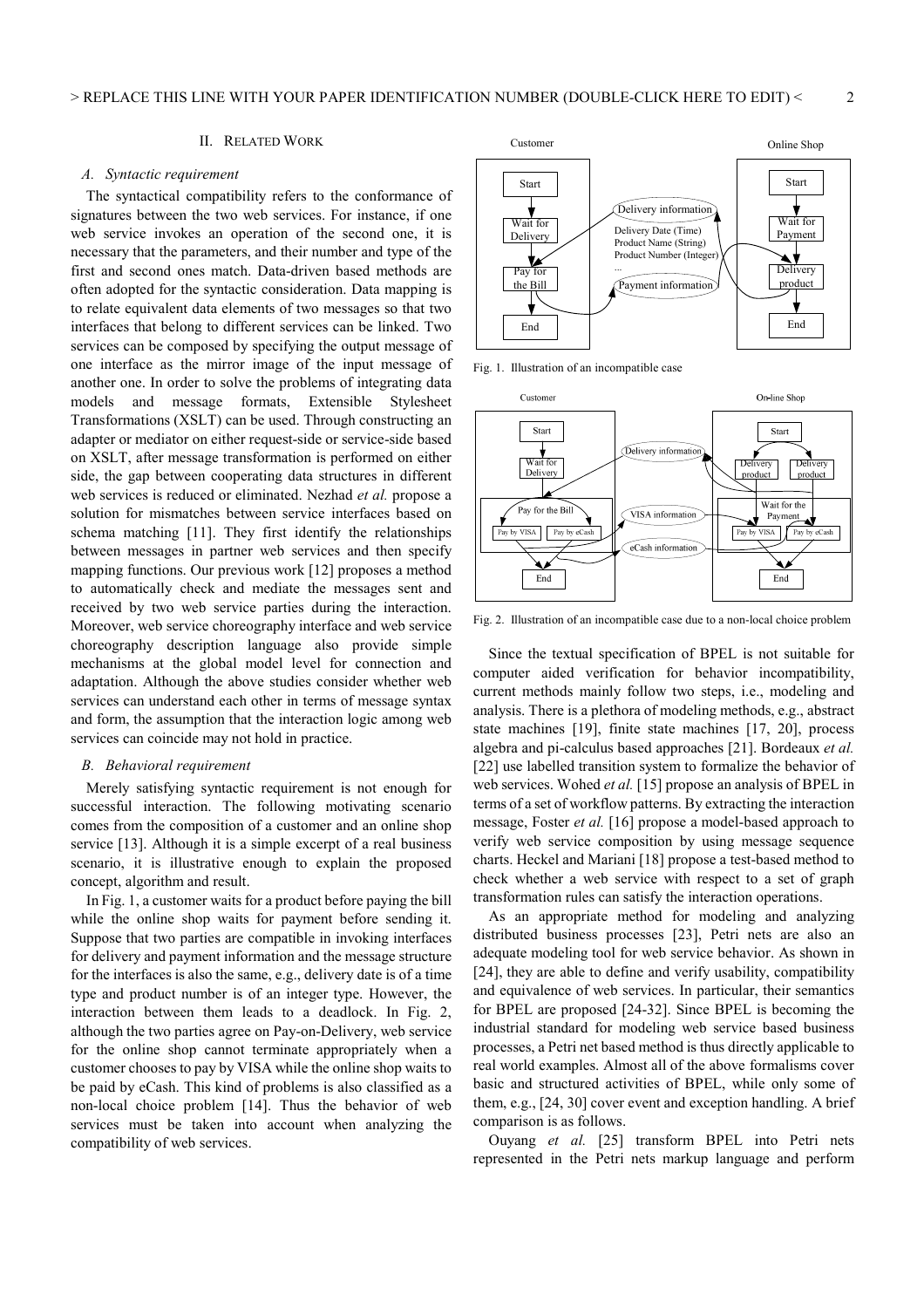# II. RELATED WORK

#### *A. Syntactic requirement*

The syntactical compatibility refers to the conformance of signatures between the two web services. For instance, if one web service invokes an operation of the second one, it is necessary that the parameters, and their number and type of the first and second ones match. Data-driven based methods are often adopted for the syntactic consideration. Data mapping is to relate equivalent data elements of two messages so that two interfaces that belong to different services can be linked. Two services can be composed by specifying the output message of one interface as the mirror image of the input message of another one. In order to solve the problems of integrating data models and message formats, Extensible Stylesheet Transformations (XSLT) can be used. Through constructing an adapter or mediator on either request-side or service-side based on XSLT, after message transformation is performed on either side, the gap between cooperating data structures in different web services is reduced or eliminated. Nezhad *et al.* propose a solution for mismatches between service interfaces based on schema matching [11]. They first identify the relationships between messages in partner web services and then specify mapping functions. Our previous work [12] proposes a method to automatically check and mediate the messages sent and received by two web service parties during the interaction. Moreover, web service choreography interface and web service choreography description language also provide simple mechanisms at the global model level for connection and adaptation. Although the above studies consider whether web services can understand each other in terms of message syntax and form, the assumption that the interaction logic among web services can coincide may not hold in practice.

#### *B. Behavioral requirement*

Merely satisfying syntactic requirement is not enough for successful interaction. The following motivating scenario comes from the composition of a customer and an online shop service [13]. Although it is a simple excerpt of a real business scenario, it is illustrative enough to explain the proposed concept, algorithm and result.

In Fig. 1, a customer waits for a product before paying the bill while the online shop waits for payment before sending it. Suppose that two parties are compatible in invoking interfaces for delivery and payment information and the message structure for the interfaces is also the same, e.g., delivery date is of a time type and product number is of an integer type. However, the interaction between them leads to a deadlock. In Fig. 2, although the two parties agree on Pay-on-Delivery, web service for the online shop cannot terminate appropriately when a customer chooses to pay by VISA while the online shop waits to be paid by eCash. This kind of problems is also classified as a non-local choice problem [14]. Thus the behavior of web services must be taken into account when analyzing the compatibility of web services.



Fig. 1. Illustration of an incompatible case



Fig. 2. Illustration of an incompatible case due to a non-local choice problem

Since the textual specification of BPEL is not suitable for computer aided verification for behavior incompatibility, current methods mainly follow two steps, i.e., modeling and analysis. There is a plethora of modeling methods, e.g., abstract state machines [19], finite state machines [17, 20], process algebra and pi-calculus based approaches [21]. Bordeaux *et al.* [22] use labelled transition system to formalize the behavior of web services. Wohed *et al.* [15] propose an analysis of BPEL in terms of a set of workflow patterns. By extracting the interaction message, Foster *et al.* [16] propose a model-based approach to verify web service composition by using message sequence charts. Heckel and Mariani [18] propose a test-based method to check whether a web service with respect to a set of graph transformation rules can satisfy the interaction operations.

As an appropriate method for modeling and analyzing distributed business processes [23], Petri nets are also an adequate modeling tool for web service behavior. As shown in [24], they are able to define and verify usability, compatibility and equivalence of web services. In particular, their semantics for BPEL are proposed [24-32]. Since BPEL is becoming the industrial standard for modeling web service based business processes, a Petri net based method is thus directly applicable to real world examples. Almost all of the above formalisms cover basic and structured activities of BPEL, while only some of them, e.g., [24, 30] cover event and exception handling. A brief comparison is as follows.

Ouyang *et al.* [25] transform BPEL into Petri nets represented in the Petri nets markup language and perform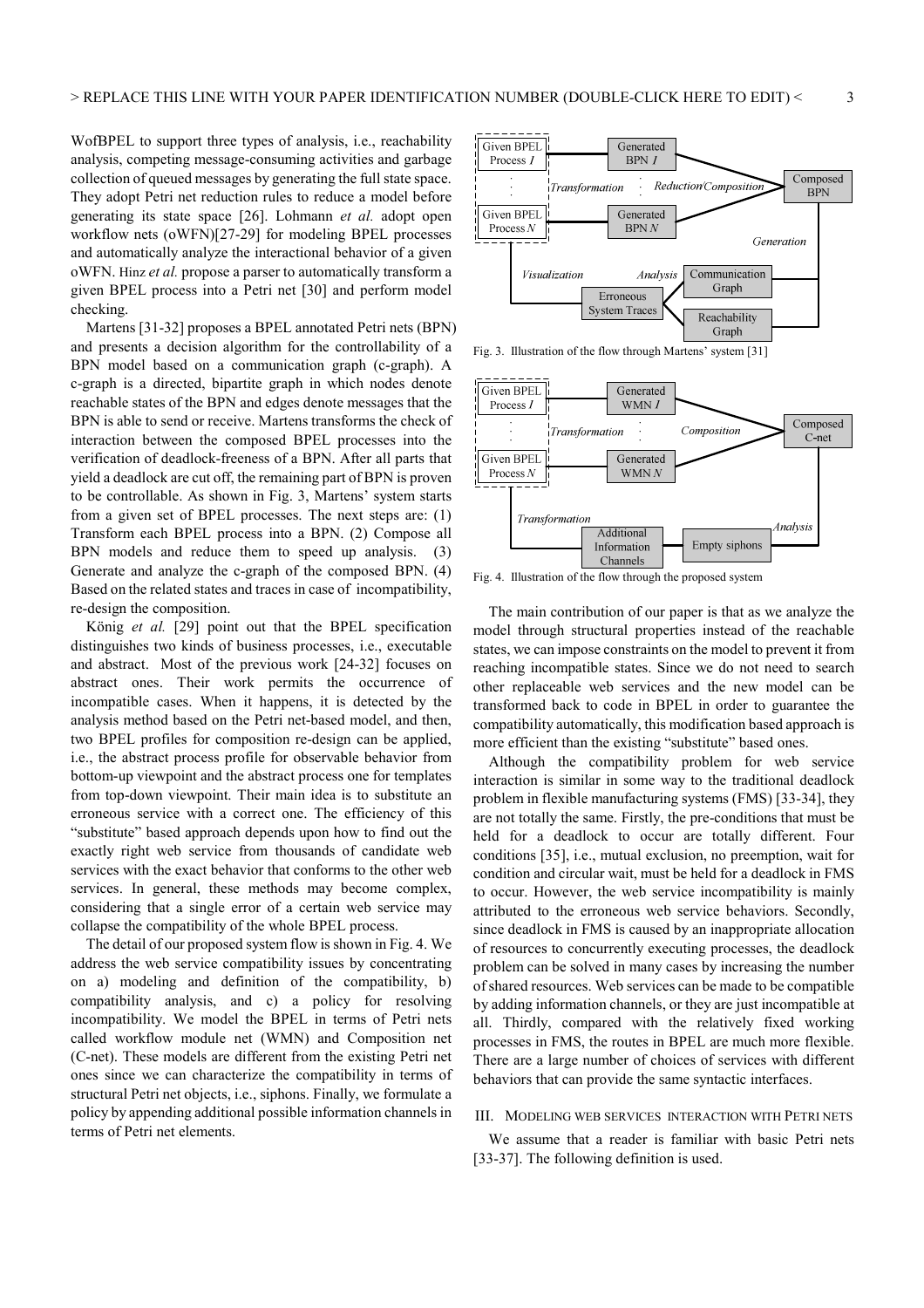WofBPEL to support three types of analysis, i.e., reachability analysis, competing message-consuming activities and garbage collection of queued messages by generating the full state space. They adopt Petri net reduction rules to reduce a model before generating its state space [26]. Lohmann *et al.* adopt open workflow nets (oWFN)[27-29] for modeling BPEL processes and automatically analyze the interactional behavior of a given oWFN. Hinz *et al.* propose a parser to automatically transform a given BPEL process into a Petri net [30] and perform model checking.

Martens [31-32] proposes a BPEL annotated Petri nets (BPN) and presents a decision algorithm for the controllability of a BPN model based on a communication graph (c-graph). A c-graph is a directed, bipartite graph in which nodes denote reachable states of the BPN and edges denote messages that the BPN is able to send or receive. Martens transforms the check of interaction between the composed BPEL processes into the verification of deadlock-freeness of a BPN. After all parts that yield a deadlock are cut off, the remaining part of BPN is proven to be controllable. As shown in Fig. 3, Martens' system starts from a given set of BPEL processes. The next steps are: (1) Transform each BPEL process into a BPN. (2) Compose all BPN models and reduce them to speed up analysis. (3) Generate and analyze the c-graph of the composed BPN. (4) Based on the related states and traces in case of incompatibility, re-design the composition.

König *et al.* [29] point out that the BPEL specification distinguishes two kinds of business processes, i.e., executable and abstract. Most of the previous work [24-32] focuses on abstract ones. Their work permits the occurrence of incompatible cases. When it happens, it is detected by the analysis method based on the Petri net-based model, and then, two BPEL profiles for composition re-design can be applied, i.e., the abstract process profile for observable behavior from bottom-up viewpoint and the abstract process one for templates from top-down viewpoint. Their main idea is to substitute an erroneous service with a correct one. The efficiency of this "substitute" based approach depends upon how to find out the exactly right web service from thousands of candidate web services with the exact behavior that conforms to the other web services. In general, these methods may become complex, considering that a single error of a certain web service may collapse the compatibility of the whole BPEL process.

The detail of our proposed system flow is shown in Fig. 4. We address the web service compatibility issues by concentrating on a) modeling and definition of the compatibility, b) compatibility analysis, and c) a policy for resolving incompatibility. We model the BPEL in terms of Petri nets called workflow module net (WMN) and Composition net (C-net). These models are different from the existing Petri net ones since we can characterize the compatibility in terms of structural Petri net objects, i.e., siphons. Finally, we formulate a policy by appending additional possible information channels in terms of Petri net elements.



Fig. 3. Illustration of the flow through Martens' system [31]



Fig. 4. Illustration of the flow through the proposed system

The main contribution of our paper is that as we analyze the model through structural properties instead of the reachable states, we can impose constraints on the model to prevent it from reaching incompatible states. Since we do not need to search other replaceable web services and the new model can be transformed back to code in BPEL in order to guarantee the compatibility automatically, this modification based approach is more efficient than the existing "substitute" based ones.

Although the compatibility problem for web service interaction is similar in some way to the traditional deadlock problem in flexible manufacturing systems (FMS) [33-34], they are not totally the same. Firstly, the pre-conditions that must be held for a deadlock to occur are totally different. Four conditions [35], i.e., mutual exclusion, no preemption, wait for condition and circular wait, must be held for a deadlock in FMS to occur. However, the web service incompatibility is mainly attributed to the erroneous web service behaviors. Secondly, since deadlock in FMS is caused by an inappropriate allocation of resources to concurrently executing processes, the deadlock problem can be solved in many cases by increasing the number of shared resources. Web services can be made to be compatible by adding information channels, or they are just incompatible at all. Thirdly, compared with the relatively fixed working processes in FMS, the routes in BPEL are much more flexible. There are a large number of choices of services with different behaviors that can provide the same syntactic interfaces.

## III. MODELING WEB SERVICES INTERACTION WITH PETRI NETS

We assume that a reader is familiar with basic Petri nets [33-37]. The following definition is used.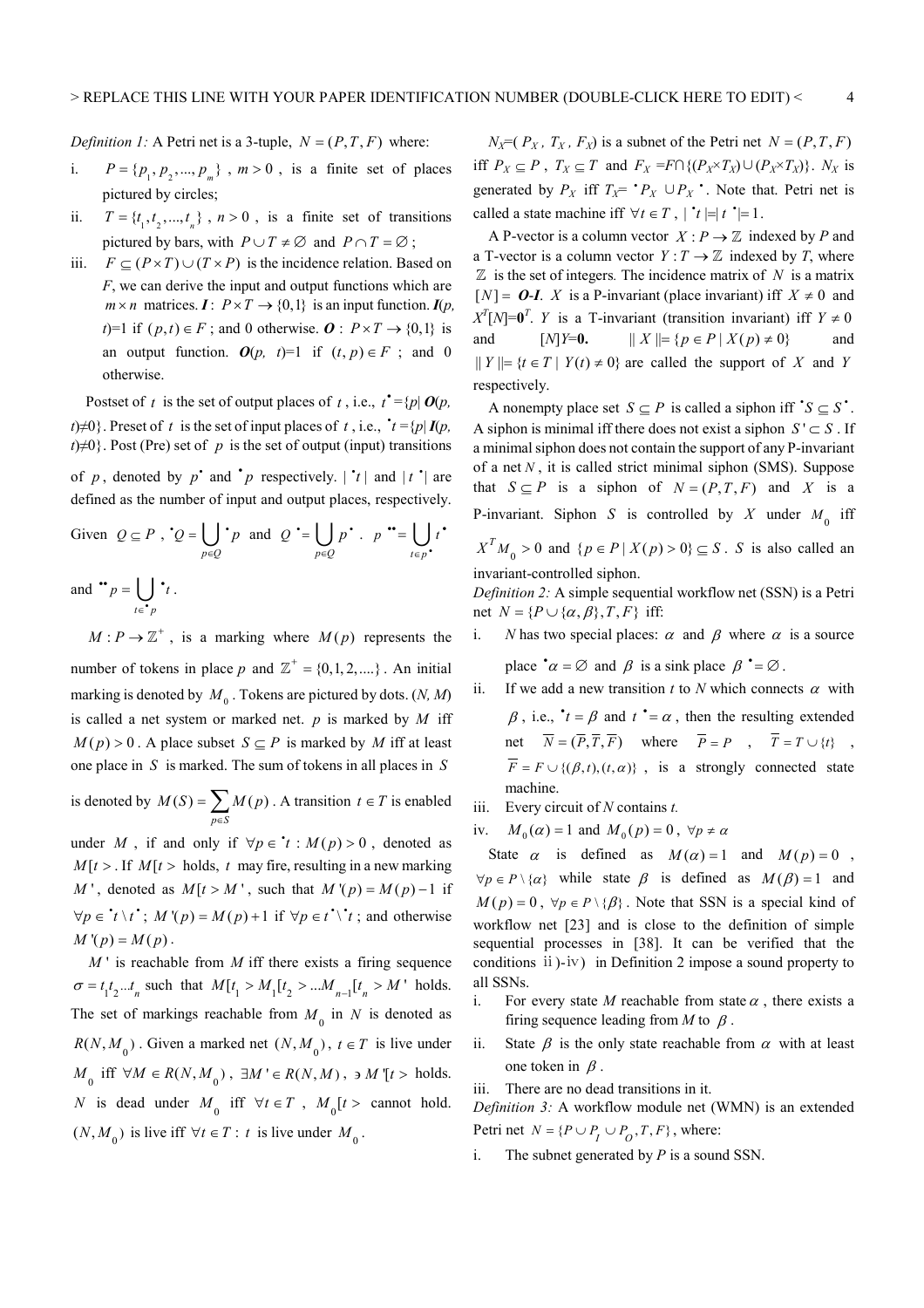*Definition 1:* A Petri net is a 3-tuple,  $N = (P, T, F)$  where:

- i.  $P = \{p_1, p_2, ..., p_m\}$ ,  $m > 0$ , is a finite set of places pictured by circles;
- ii.  $T = \{t_1, t_2, ..., t_n\}$ ,  $n > 0$ , is a finite set of transitions pictured by bars, with  $P \cup T \neq \emptyset$  and  $P \cap T = \emptyset$ ;
- iii.  $F \subseteq (P \times T) \cup (T \times P)$  is the incidence relation. Based on *F*, we can derive the input and output functions which are  $m \times n$  matrices.  $I: P \times T \rightarrow \{0,1\}$  is an input function.  $I(p,$ *t*)=1 if  $(p, t) \in F$ ; and 0 otherwise.  $\boldsymbol{0} : P \times T \rightarrow \{0, 1\}$  is an output function.  $O(p, t)=1$  if  $(t, p) \in F$ ; and 0 otherwise.

Postset of *t* is the set of output places of *t*, i.e.,  $t^* = \{p | O(p,$  $t \neq 0$ . Preset of *t* is the set of input places of *t*, i.e.,  $t = \{p | I(p, k) \}$  $t \neq 0$ . Post (Pre) set of *p* is the set of output (input) transitions

of p, denoted by p and  $\boldsymbol{p}$  respectively.  $|\boldsymbol{r}|$  and  $|\boldsymbol{t}|$  are defined as the number of input and output places, respectively.

Given 
$$
Q \subseteq P
$$
,  $Q = \bigcup_{p \in Q} P$  and  $Q' = \bigcup_{p \in Q} p' \cdot p'' = \bigcup_{t \in p'} t'$   
and  $\bullet \circ p = \bigcup_{t \in p} \bullet t$ .

 $M: P \to \mathbb{Z}^+$ , is a marking where  $M(p)$  represents the number of tokens in place p and  $\mathbb{Z}^+ = \{0, 1, 2, ...\}$ . An initial marking is denoted by  $M_0$ . Tokens are pictured by dots.  $(N, M)$ is called a net system or marked net. *p* is marked by *M* iff  $M(p) > 0$ . A place subset  $S \subset P$  is marked by *M* iff at least one place in *S* is marked. The sum of tokens in all places in *S*

is denoted by  $M(S) = \sum M(p)$ . *p S*  $M(S) = \sum M(p)$  $=\sum_{p\in S} M(p)$ . A transition  $t \in T$  is enabled

under *M*, if and only if  $\forall p \in \mathbf{r}: M(p) > 0$ , denoted as  $M[t > .$  If  $M[t > holds, t$  may fire, resulting in a new marking *M* ', denoted as  $M[t > M'$ , such that  $M'(p) = M(p) - 1$  if  $\forall p \in \mathbf{A} \setminus t^*$ ;  $M'(p) = M(p) + 1$  if  $\forall p \in t^* \setminus t^*$ ; and otherwise  $M'(p) = M(p)$ .

 $M'$  is reachable from  $M$  iff there exists a firing sequence  $\sigma = t_1 t_2 ... t_n$  such that  $M[t_1 > M_1[t_2 > ... M_{n-1}[t_n > M']$  holds. The set of markings reachable from  $M_0$  in  $N$  is denoted as  $R(N, M_0)$ . Given a marked net  $(N, M_0)$ ,  $t \in T$  is live under  $M_0$  iff ∀ $M \in R(N, M_0)$ , ∃ $M' \in R(N, M)$ , ∍  $M'[t >$  holds. *N* is dead under  $M_0$  iff  $\forall t \in T$ ,  $M_0[t > \text{cannot hold.}$  $(N, M_0)$  is live iff  $\forall t \in T$ : *t* is live under  $M_0$ .

 $N_X=(P_X, T_X, F_X)$  is a subnet of the Petri net  $N=(P, T, F)$ iff  $P_X \subseteq P$ ,  $T_X \subseteq T$  and  $F_X = F \cap \{(P_X \times T_X) \cup (P_X \times T_X)\}$ .  $N_X$  is generated by  $P_X$  iff  $T_X = P_X \cup P_X$ . Note that. Petri net is called a state machine if  $\forall t \in T$ ,  $\mid t \mid = \mid t \mid = 1$ .

A P-vector is a column vector  $X : P \to \mathbb{Z}$  indexed by P and a T-vector is a column vector  $Y: T \to \mathbb{Z}$  indexed by *T*, where  $\mathbb Z$  is the set of integers. The incidence matrix of  $N$  is a matrix  $[N] = O-I$ . *X* is a P-invariant (place invariant) iff  $X \neq 0$  and  $X^T[N] = 0^T$ . *Y* is a T-invariant (transition invariant) iff  $Y \neq 0$ and  $[N]Y=0$ .  $|| X || = {p \in P | X(p) \neq 0}$  and  $|| Y || = {t \in T | Y(t) \neq 0}$  are called the support of *X* and *Y* respectively.

A nonempty place set  $S \subseteq P$  is called a siphon iff  $^{\bullet}S \subseteq S^{\bullet}$ . A siphon is minimal iff there does not exist a siphon  $S' \subset S$ . If a minimal siphon does not contain the support of any P-invariant of a net *N* , it is called strict minimal siphon (SMS). Suppose that  $S \subseteq P$  is a siphon of  $N = (P, T, F)$  and X is a P-invariant. Siphon *S* is controlled by *X* under  $M_0$  iff  $X^T M_0 > 0$  and  $\{p \in P \mid X(p) > 0\} \subseteq S$ . *S* is also called an invariant-controlled siphon.

*Definition 2:* A simple sequential workflow net (SSN) is a Petri net  $N = {P \cup {\alpha, \beta}, T, F}$  iff:

i. *N* has two special places:  $\alpha$  and  $\beta$  where  $\alpha$  is a source place  $\alpha = \emptyset$  and  $\beta$  is a sink place  $\beta = \emptyset$ .

ii. If we add a new transition *t* to *N* which connects  $\alpha$  with  $\beta$ , i.e.,  $t = \beta$  and  $t = \alpha$ , then the resulting extended net  $\overline{N} = (\overline{P}, \overline{T}, \overline{F})$  where  $\overline{P} = P$ ,  $\overline{T} = T \cup \{t\}$ ,  $\overline{F} = F \cup \{(\beta, t), (t, \alpha)\}\;$ , is a strongly connected state

iii. Every circuit of *N* contains *t.* 

machine.

iv.  $M_0(\alpha) = 1$  and  $M_0(p) = 0$ ,  $\forall p \neq \alpha$ 

State  $\alpha$  is defined as  $M(\alpha) = 1$  and  $M(p) = 0$ ,  $\forall p \in P \setminus \{ \alpha \}$  while state  $\beta$  is defined as  $M(\beta) = 1$  and  $M(p) = 0$ ,  $\forall p \in P \setminus \{\beta\}$ . Note that SSN is a special kind of workflow net [23] and is close to the definition of simple sequential processes in [38]. It can be verified that the conditions ⅱ)-ⅳ) in Definition 2 impose a sound property to all SSNs.

- i. For every state *M* reachable from state  $\alpha$ , there exists a firing sequence leading from  $M$  to  $\beta$ .
- ii. State  $\beta$  is the only state reachable from  $\alpha$  with at least one token in  $\beta$ .

iii. There are no dead transitions in it.

*Definition 3:* A workflow module net (WMN) is an extended Petri net  $N = {P \cup P_1 \cup P_2, T, F}$ , where:

i. The subnet generated by *P* is a sound SSN.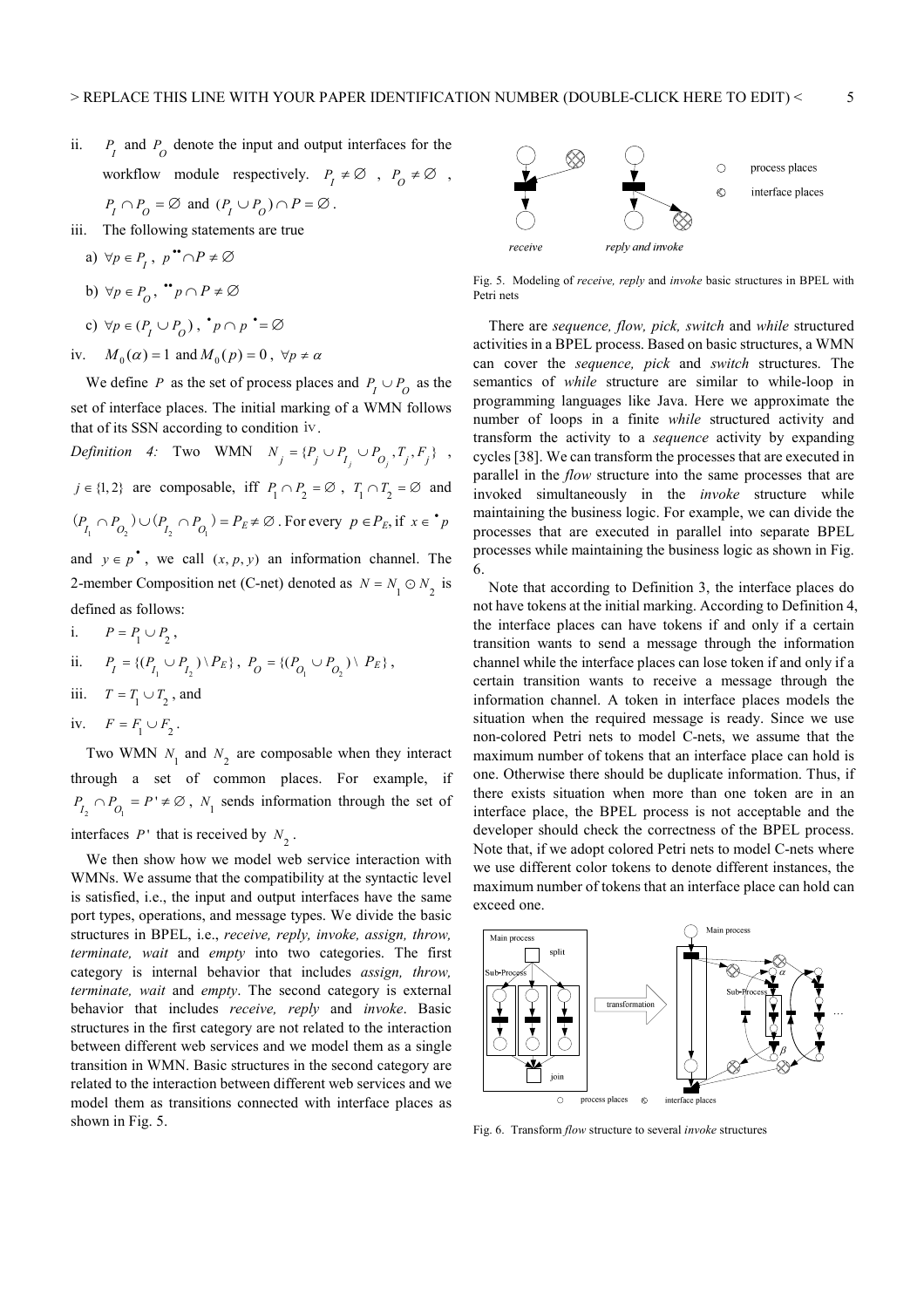ii.  $P_I$  and  $P_O$  denote the input and output interfaces for the workflow module respectively.  $P_I \neq \emptyset$ ,  $P_O \neq \emptyset$ ,

$$
P_I \cap P_O = \varnothing
$$
 and  $(P_I \cup P_O) \cap P = \varnothing$ .

iii. The following statements are true

a) 
$$
\forall p \in P_1, p \bullet \cap P \neq \emptyset
$$
  
\nb)  $\forall p \in P_0, \bullet \neg p \cap P \neq \emptyset$   
\nc)  $\forall p \in (P_1 \cup P_0), \bullet \neg p \bullet \neq \emptyset$ 

iv.  $M_0(\alpha) = 1$  and  $M_0(p) = 0$ ,  $\forall p \neq \alpha$ 

We define *P* as the set of process places and  $P_1 \cup P_2$  as the set of interface places. The initial marking of a WMN follows that of its SSN according to condition ⅳ.

*Definition 4:* Two WMN  $N_j = \{P_j \cup P_{I_j} \cup P_{O_j}, T_j, F_j\}$ , *j* ∈ {1, 2} are composable, iff  $P_1 \cap P_2 = \emptyset$ ,  $T_1 \cap T_2 = \emptyset$  and  $(P_{I_1} \cap P_{O_2}) \cup (P_{I_2} \cap P_{O_1}) = P_E \neq \emptyset$ . For every  $p \in P_E$ , if  $x \in \mathbf{P}$ and  $y \in p^*$ , we call  $(x, p, y)$  an information channel. The 2-member Composition net (C-net) denoted as  $N = N_1 \odot N_2$  is defined as follows:

i.  $P = P_1 \cup P_2$ , ii.  $P_I = \{ (P_{I_1} \cup P_{I_2}) \setminus P_E \}, P_{O} = \{ (P_{O_1} \cup P_{O_2}) \setminus P_E \}, P_{O} = \{ (P_{O_2} \cup P_{O_2}) \setminus P_E \}$ iii.  $T = T_1 \cup T_2$ , and iv.  $F = F_1 \cup F_2$ .

Two WMN  $N_1$  and  $N_2$  are composable when they interact through a set of common places. For example, if 2  $V_1$  $P_{I_2} \cap P_{O_1} = P' \neq \emptyset$ ,  $N_1$  sends information through the set of interfaces  $P'$  that is received by  $N_2$ .

We then show how we model web service interaction with WMNs. We assume that the compatibility at the syntactic level is satisfied, i.e., the input and output interfaces have the same port types, operations, and message types. We divide the basic structures in BPEL, i.e., *receive, reply, invoke, assign, throw, terminate, wait* and *empty* into two categories. The first category is internal behavior that includes *assign, throw, terminate, wait* and *empty*. The second category is external behavior that includes *receive, reply* and *invoke*. Basic structures in the first category are not related to the interaction between different web services and we model them as a single transition in WMN. Basic structures in the second category are related to the interaction between different web services and we model them as transitions connected with interface places as shown in Fig. 5.



Fig. 5. Modeling of *receive, reply* and *invoke* basic structures in BPEL with Petri nets

There are *sequence, flow, pick, switch* and *while* structured activities in a BPEL process. Based on basic structures, a WMN can cover the *sequence, pick* and *switch* structures. The semantics of *while* structure are similar to while-loop in programming languages like Java. Here we approximate the number of loops in a finite *while* structured activity and transform the activity to a *sequence* activity by expanding cycles [38]. We can transform the processes that are executed in parallel in the *flow* structure into the same processes that are invoked simultaneously in the *invoke* structure while maintaining the business logic. For example, we can divide the processes that are executed in parallel into separate BPEL processes while maintaining the business logic as shown in Fig. 6.

Note that according to Definition 3, the interface places do not have tokens at the initial marking. According to Definition 4, the interface places can have tokens if and only if a certain transition wants to send a message through the information channel while the interface places can lose token if and only if a certain transition wants to receive a message through the information channel. A token in interface places models the situation when the required message is ready. Since we use non-colored Petri nets to model C-nets, we assume that the maximum number of tokens that an interface place can hold is one. Otherwise there should be duplicate information. Thus, if there exists situation when more than one token are in an interface place, the BPEL process is not acceptable and the developer should check the correctness of the BPEL process. Note that, if we adopt colored Petri nets to model C-nets where we use different color tokens to denote different instances, the maximum number of tokens that an interface place can hold can exceed one.



Fig. 6. Transform *flow* structure to several *invoke* structures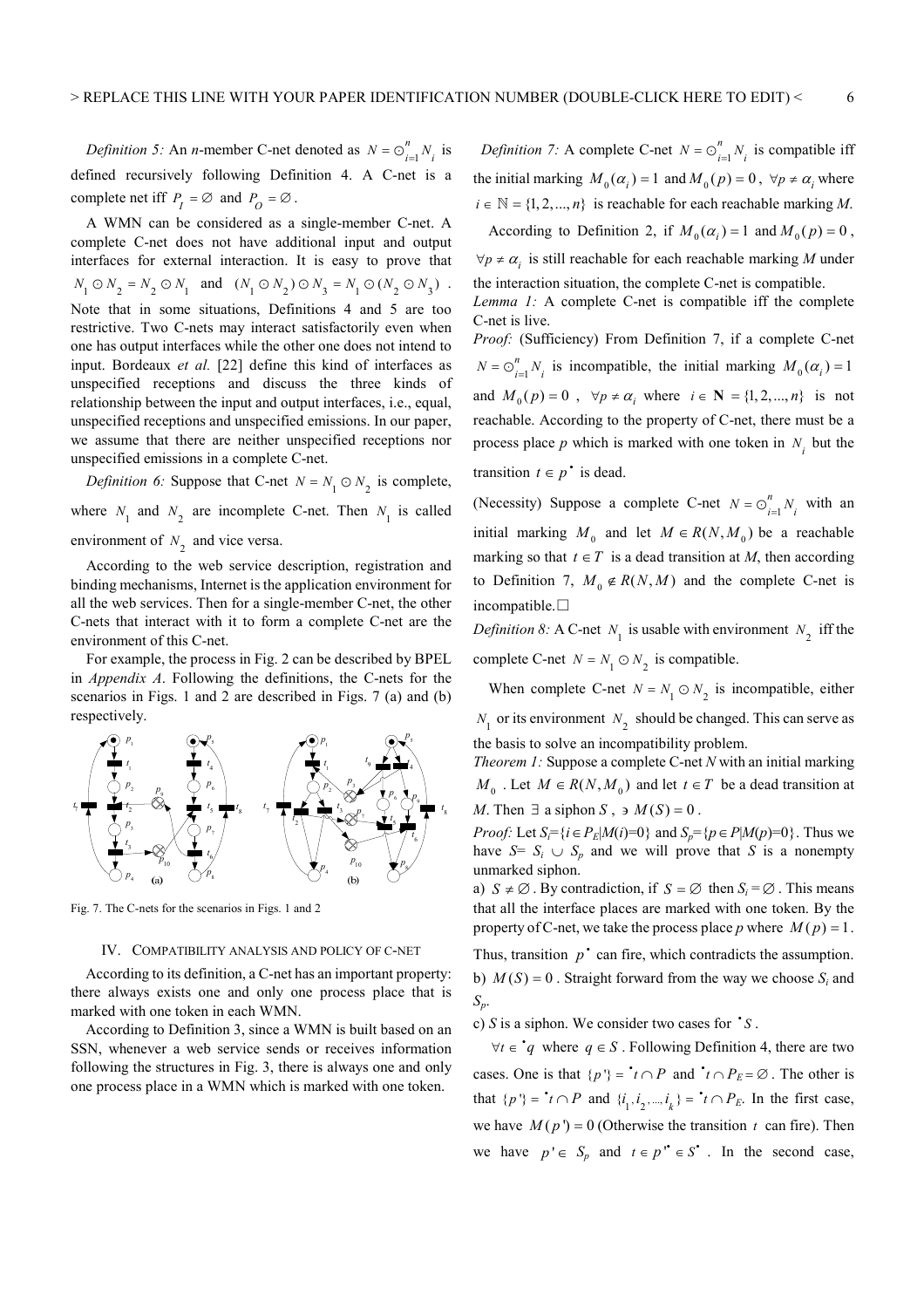*Definition 5:* An *n*-member C-net denoted as  $N = \bigcirc_{i=1}^{n}$  $N = \bigcirc_{i=1}^{n} N_i$  is defined recursively following Definition 4. A C-net is a complete net iff  $P_I = \emptyset$  and  $P_O = \emptyset$ .

A WMN can be considered as a single-member C-net. A complete C-net does not have additional input and output interfaces for external interaction. It is easy to prove that  $N_1 \odot N_2 = N_2 \odot N_1$  and  $(N_1 \odot N_2) \odot N_3 = N_1 \odot (N_2 \odot N_3)$ . Note that in some situations, Definitions 4 and 5 are too restrictive. Two C-nets may interact satisfactorily even when one has output interfaces while the other one does not intend to input. Bordeaux *et al.* [22] define this kind of interfaces as unspecified receptions and discuss the three kinds of relationship between the input and output interfaces, i.e., equal, unspecified receptions and unspecified emissions. In our paper, we assume that there are neither unspecified receptions nor unspecified emissions in a complete C-net.

*Definition 6:* Suppose that C-net  $N = N_1 \odot N_2$  is complete, where  $N_1$  and  $N_2$  are incomplete C-net. Then  $N_1$  is called environment of  $N_2$  and vice versa.

According to the web service description, registration and binding mechanisms, Internet is the application environment for all the web services. Then for a single-member C-net, the other C-nets that interact with it to form a complete C-net are the environment of this C-net.

For example, the process in Fig. 2 can be described by BPEL in *Appendix A*. Following the definitions, the C-nets for the scenarios in Figs. 1 and 2 are described in Figs. 7 (a) and (b) respectively.



Fig. 7. The C-nets for the scenarios in Figs. 1 and 2

## IV. COMPATIBILITY ANALYSIS AND POLICY OF C-NET

According to its definition, a C-net has an important property: there always exists one and only one process place that is marked with one token in each WMN.

According to Definition 3, since a WMN is built based on an SSN, whenever a web service sends or receives information following the structures in Fig. 3, there is always one and only one process place in a WMN which is marked with one token.

*Definition 7:* A complete C-net  $N = \bigcirc_{i=1}^{n}$  $N = \bigcirc_{i=1}^{n} N_i$  is compatible iff the initial marking  $M_0(\alpha_i) = 1$  and  $M_0(p) = 0$ ,  $\forall p \neq \alpha_i$  where  $i \in \mathbb{N} = \{1, 2, ..., n\}$  is reachable for each reachable marking *M*. According to Definition 2, if  $M_0(\alpha_i) = 1$  and  $M_0(p) = 0$ ,

 $\forall p \neq \alpha$ , is still reachable for each reachable marking *M* under the interaction situation, the complete C-net is compatible.

*Lemma 1:* A complete C-net is compatible iff the complete C-net is live.

*Proof:* (Sufficiency) From Definition 7, if a complete C-net 1 *n*  $N = \bigcirc_{i=1}^{n} N_i$  is incompatible, the initial marking  $M_0(\alpha_i) = 1$ and  $M_0(p) = 0$ ,  $\forall p \neq \alpha$ , where  $i \in \mathbb{N} = \{1, 2, ..., n\}$  is not reachable. According to the property of C-net, there must be a process place *p* which is marked with one token in  $N_i$  but the transition  $t \in p^*$  is dead.

(Necessity) Suppose a complete C-net  $N = \bigcirc_{i=1}^{n}$ *n*  $N = \bigcirc_{i=1}^{n} N_i$  with an initial marking  $M_0$  and let  $M \in R(N, M_0)$  be a reachable marking so that  $t \in T$  is a dead transition at *M*, then according to Definition 7,  $M_0 \notin R(N,M)$  and the complete C-net is incompatible.□

*Definition 8:* A C-net  $N_1$  is usable with environment  $N_2$  iff the complete C-net  $N = N_1 \odot N_2$  is compatible.

When complete C-net  $N = N_1 \odot N_2$  is incompatible, either  $N_1$  or its environment  $N_2$  should be changed. This can serve as the basis to solve an incompatibility problem.

*Theorem 1:* Suppose a complete C-net *N* with an initial marking *M*<sub>0</sub>. Let *M* ∈ *R*(*N*,*M*<sub>0</sub>) and let *t* ∈ *T* be a dead transition at *M*. Then  $\exists$  a siphon *S*,  $\Rightarrow$  *M*(*S*) = 0.

*Proof:* Let  $S_i = \{i \in P_E | M(i) = 0\}$  and  $S_p = \{p \in P | M(p) = 0\}$ . Thus we have  $S = S_i \cup S_p$  and we will prove that *S* is a nonempty unmarked siphon.

a)  $S \neq \emptyset$ . By contradiction, if  $S = \emptyset$  then  $S_i = \emptyset$ . This means that all the interface places are marked with one token. By the property of C-net, we take the process place p where  $M(p) = 1$ .

Thus, transition  $p^*$  can fire, which contradicts the assumption. b)  $M(S) = 0$ . Straight forward from the way we choose  $S_i$  and *Sp*.

c)  $S$  is a siphon. We consider two cases for  $\dot{S}$ .

∀*t* ∈  $\dot{q}$  where  $q \in S$ . Following Definition 4, there are two cases. One is that  $\{p'\} = \mathbf{r} \cap P$  and  $\mathbf{r} \cap P_E = \emptyset$ . The other is that  $\{p'\} = \iota \cap P$  and  $\{i_1, i_2, ..., i_k\} = \iota \cap P_E$ . In the first case, we have  $M(p') = 0$  (Otherwise the transition *t* can fire). Then we have  $p' \in S_p$  and  $t \in p'' \in S^*$ . In the second case,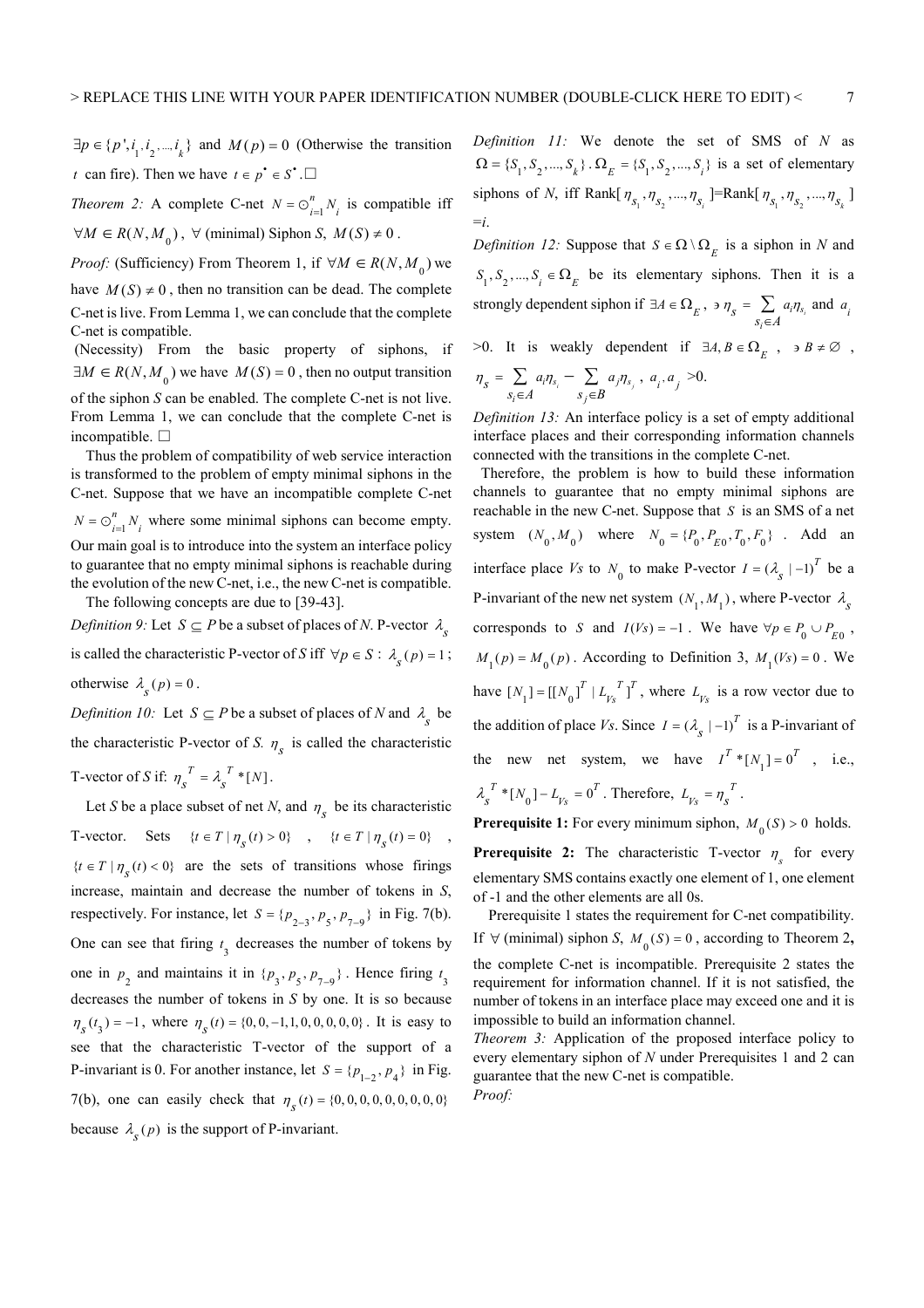$\exists p \in \{p', i_1, i_2, \dots, i_k\}$  and  $M(p) = 0$  (Otherwise the transition *t* can fire). Then we have  $t \in p^{\bullet} \in S^{\bullet}$ .  $\Box$ 

*Theorem 2:* A complete C-net  $N = \bigcirc_{i=1}^{n}$  $N = \bigcirc_{i=1}^{n} N_i$  is compatible iff  $\forall M \in R(N, M_0)$ ,  $\forall$  (minimal) Siphon *S*,  $M(S) \neq 0$ .

*Proof:* (Sufficiency) From Theorem 1, if  $\forall M \in R(N, M_0)$  we have  $M(S) \neq 0$ , then no transition can be dead. The complete C-net is live. From Lemma 1, we can conclude that the complete C-net is compatible.

 (Necessity) From the basic property of siphons, if  $\exists M \in R(N, M_0)$  we have  $M(S) = 0$ , then no output transition of the siphon *S* can be enabled. The complete C-net is not live. From Lemma 1, we can conclude that the complete C-net is incompatible. □

Thus the problem of compatibility of web service interaction is transformed to the problem of empty minimal siphons in the C-net. Suppose that we have an incompatible complete C-net 1 *n*  $N = \bigcirc_{i=1}^{n} N_i$  where some minimal siphons can become empty. Our main goal is to introduce into the system an interface policy to guarantee that no empty minimal siphons is reachable during the evolution of the new C-net, i.e., the new C-net is compatible. The following concepts are due to [39-43].

*Definition 9:* Let  $S \subseteq P$  be a subset of places of *N*. P-vector  $\lambda_{S}$ is called the characteristic P-vector of *S* iff  $\forall p \in S : \lambda_{s}(p) = 1$ ; otherwise  $\lambda_s(p) = 0$ .

*Definition 10:* Let  $S \subseteq P$  be a subset of places of *N* and  $\lambda_{s}$  be the characteristic P-vector of *S*.  $n_s$  is called the characteristic T-vector of *S* if:  $\eta_s^T = \lambda_s^T * [N]$ .

Let *S* be a place subset of net *N*, and  $\eta_s$  be its characteristic T-vector. Sets  $\{ t \in T \mid \eta_s(t) > 0 \}$ ,  $\{ t \in T \mid \eta_s(t) = 0 \}$ ,  ${t \in T | \eta_s(t) < 0}$  are the sets of transitions whose firings increase, maintain and decrease the number of tokens in *S*, respectively. For instance, let  $S = \{p_{2-3}, p_5, p_{7-9}\}\$  in Fig. 7(b). One can see that firing  $t_3$  decreases the number of tokens by one in  $p_2$  and maintains it in  $\{p_3, p_5, p_{7-9}\}\$ . Hence firing  $t_3$ decreases the number of tokens in *S* by one. It is so because  $\eta_s(t_3) = -1$ , where  $\eta_s(t) = \{0, 0, -1, 1, 0, 0, 0, 0, 0\}$ . It is easy to see that the characteristic T-vector of the support of a P-invariant is 0. For another instance, let  $S = \{p_{1-2}, p_4\}$  in Fig. 7(b), one can easily check that  $\eta_s(t) = \{0, 0, 0, 0, 0, 0, 0, 0, 0\}$ because  $\lambda_s(p)$  is the support of P-invariant.

*Definition 11:* We denote the set of SMS of *N* as  $\Omega = \{S_1, S_2, ..., S_k\}$ .  $\Omega_E = \{S_1, S_2, ..., S_i\}$  is a set of elementary siphons of *N*, iff Rank[ $\eta_{s_1}, \eta_{s_2}, ..., \eta_{s_i}$ ]=Rank[ $\eta_{s_1}, \eta_{s_2}, ..., \eta_{s_k}$ ] =*i*.

*Definition 12:* Suppose that  $S \in \Omega \setminus \Omega_E$  is a siphon in *N* and  $S_1, S_2, ..., S_i \in \Omega_E$  be its elementary siphons. Then it is a strongly dependent siphon if  $\exists A \in \Omega_E$ ,  $\Rightarrow \eta_s = \sum_{s_i \in A} a_i \eta_{s_i}$ *i* э $\eta_{\rm c} = \sum a_i \eta_i$ ∈  $\sum a_i \eta_{s_i}$  and  $a_i$  $>0$ . It is weakly dependent if  $\exists A, B \in \Omega_E$ ,  $\Rightarrow B \neq \emptyset$ ,

$$
\eta_{s} = \sum_{s_{i} \in A} a_{i} \eta_{s_{i}} - \sum_{s_{j} \in B} a_{j} \eta_{s_{j}}, \ a_{i}, a_{j} > 0.
$$

*Definition 13:* An interface policy is a set of empty additional interface places and their corresponding information channels connected with the transitions in the complete C-net.

 Therefore, the problem is how to build these information channels to guarantee that no empty minimal siphons are reachable in the new C-net. Suppose that *S* is an SMS of a net system  $(N_0, M_0)$  where  $N_0 = \{P_0, P_{E0}, T_0, F_0\}$ . Add an interface place *Vs* to  $N_0$  to make P-vector  $I = (\lambda_s \mid -1)^T$  be a P-invariant of the new net system  $(N_1, M_1)$ , where P-vector  $\lambda_s$ corresponds to *S* and  $I(Vs) = -1$ . We have  $\forall p \in P_0 \cup P_{E0}$ ,  $M_1(p) = M_0(p)$ . According to Definition 3,  $M_1(Vs) = 0$ . We have  $[N_1] = [[N_0]^T | L_{V_s}^T]^T$ , where  $L_{V_s}$  is a row vector due to the addition of place *Vs*. Since  $I = (\lambda_{s} | -1)^{T}$  is a P-invariant of the new net system, we have  $I^T * [N_1] = 0^T$ , i.e.,  $\lambda_{s}^{T}$  \*  $[N_0]$  –  $L_{V_s}$  = 0<sup>T</sup>. Therefore,  $L_{V_s}$  =  $\eta_{s}^{T}$ .

**Prerequisite 1:** For every minimum siphon,  $M_0(S) > 0$  holds.

**Prerequisite 2:** The characteristic T-vector  $\eta_s$  for every elementary SMS contains exactly one element of 1, one element of -1 and the other elements are all 0s.

Prerequisite 1 states the requirement for C-net compatibility. If ∀ (minimal) siphon *S*,  $M_0(S) = 0$ , according to Theorem 2, the complete C-net is incompatible. Prerequisite 2 states the requirement for information channel. If it is not satisfied, the number of tokens in an interface place may exceed one and it is impossible to build an information channel.

*Theorem 3:* Application of the proposed interface policy to every elementary siphon of *N* under Prerequisites 1 and 2 can guarantee that the new C-net is compatible. *Proof:*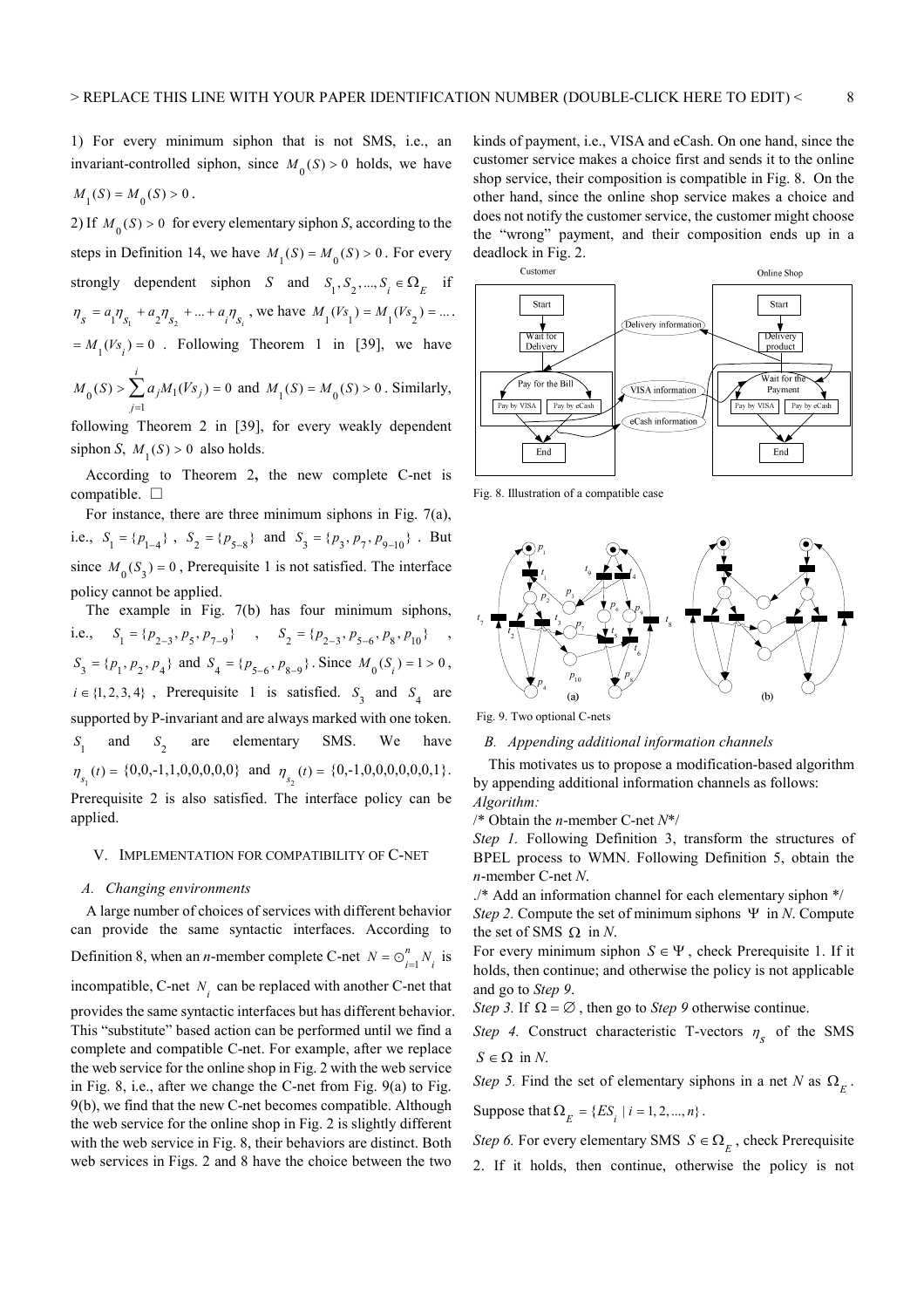1) For every minimum siphon that is not SMS, i.e., an invariant-controlled siphon, since  $M_0(S) > 0$  holds, we have  $M_{1}(S) = M_{0}(S) > 0$ .

2) If  $M_0(S) > 0$  for every elementary siphon *S*, according to the steps in Definition 14, we have  $M_1(S) = M_0(S) > 0$ . For every strongly dependent siphon *S* and  $S_1, S_2, ..., S_i \in \Omega_E$  if  $\eta_s = a_1 \eta_{s_1} + a_2 \eta_{s_2} + \dots + a_i \eta_{s_i}$ , we have  $M_1(Vs_1) = M_1(Vs_2) = \dots$ .  $=M_1(Vs_i)=0$ . Following Theorem 1 in [39], we have  $0^{(S)} \geq \sum_{j=1}^{\infty} a_j m_1$  $(S) > \sum a_i M_1(Vs_i) = 0$ *i j j j*  $M_0(S) > \sum a_i M_1(Vs)$  $> \sum_{j=1} a_j M_1(Vs_j) = 0$  and  $M_1(S) = M_0(S) > 0$ . Similarly,

following Theorem 2 in [39], for every weakly dependent siphon *S*,  $M_1(S) > 0$  also holds.

According to Theorem 2**,** the new complete C-net is compatible. □

For instance, there are three minimum siphons in Fig. 7(a), i.e.,  $S_1 = \{p_{1-4}\}\;$ ,  $S_2 = \{p_{5-8}\}\;$  and  $S_3 = \{p_3, p_7, p_{9-10}\}\;$ . But since  $M_0(S_2) = 0$ , Prerequisite 1 is not satisfied. The interface policy cannot be applied.

The example in Fig. 7(b) has four minimum siphons, i.e.,  $S_1 = \{p_{2-3}, p_5, p_{7-9}\}$ ,  $S_2 = \{p_{2-3}, p_{5-6}, p_8, p_{10}\}$ ,  $S_3 = \{p_1, p_2, p_4\}$  and  $S_4 = \{p_{5-6}, p_{8-9}\}\$ . Since  $M_0(S_i) = 1 > 0$ ,  $i \in \{1, 2, 3, 4\}$ , Prerequisite 1 is satisfied.  $S_3$  and  $S_4$  are supported by P-invariant and are always marked with one token.  $S_{1}$ and  $S_2$ are elementary SMS. We have  $\eta_{s_1}(t) = \{0, 0, -1, 1, 0, 0, 0, 0, 0\}$  and  $\eta_{s_2}(t) = \{0, -1, 0, 0, 0, 0, 0, 0, 1\}.$ Prerequisite 2 is also satisfied. The interface policy can be applied.

#### V. IMPLEMENTATION FOR COMPATIBILITY OF C-NET

#### *A. Changing environments*

A large number of choices of services with different behavior can provide the same syntactic interfaces. According to Definition 8, when an *n*-member complete C-net  $N = \bigcirc_{i=1}^{n}$  $N = \bigcirc_{i=1}^{n} N_i$  is incompatible, C-net  $N_i$  can be replaced with another C-net that provides the same syntactic interfaces but has different behavior. This "substitute" based action can be performed until we find a complete and compatible C-net. For example, after we replace the web service for the online shop in Fig. 2 with the web service in Fig. 8, i.e., after we change the C-net from Fig. 9(a) to Fig. 9(b), we find that the new C-net becomes compatible. Although the web service for the online shop in Fig. 2 is slightly different with the web service in Fig. 8, their behaviors are distinct. Both web services in Figs. 2 and 8 have the choice between the two

kinds of payment, i.e., VISA and eCash. On one hand, since the customer service makes a choice first and sends it to the online shop service, their composition is compatible in Fig. 8. On the other hand, since the online shop service makes a choice and does not notify the customer service, the customer might choose the "wrong" payment, and their composition ends up in a deadlock in Fig. 2.



Fig. 8. Illustration of a compatible case



Fig. 9. Two optional C-nets

#### *B. Appending additional information channels*

This motivates us to propose a modification-based algorithm by appending additional information channels as follows: *Algorithm:* 

/\* Obtain the *n*-member C-net *N*\*/

*Step 1.* Following Definition 3, transform the structures of BPEL process to WMN. Following Definition 5, obtain the *n*-member C-net *N*.

./\* Add an information channel for each elementary siphon \*/ *Step 2.* Compute the set of minimum siphons Ψ in *N*. Compute the set of SMS  $\Omega$  in *N*.

For every minimum siphon  $S \in \Psi$ , check Prerequisite 1. If it holds, then continue; and otherwise the policy is not applicable and go to *Step 9*.

*Step 3.* If  $\Omega = \emptyset$ , then go to *Step 9* otherwise continue.

*Step 4.* Construct characteristic T-vectors  $\eta_s$  of the SMS  $S \in \Omega$  in *N*.

*Step 5.* Find the set of elementary siphons in a net *N* as  $\Omega$ <sub>E</sub>.

Suppose that  $\Omega_F = \{ES_i \mid i = 1, 2, ..., n\}$ .

*Step 6.* For every elementary SMS  $S \in \Omega_E$ , check Prerequisite

2. If it holds, then continue, otherwise the policy is not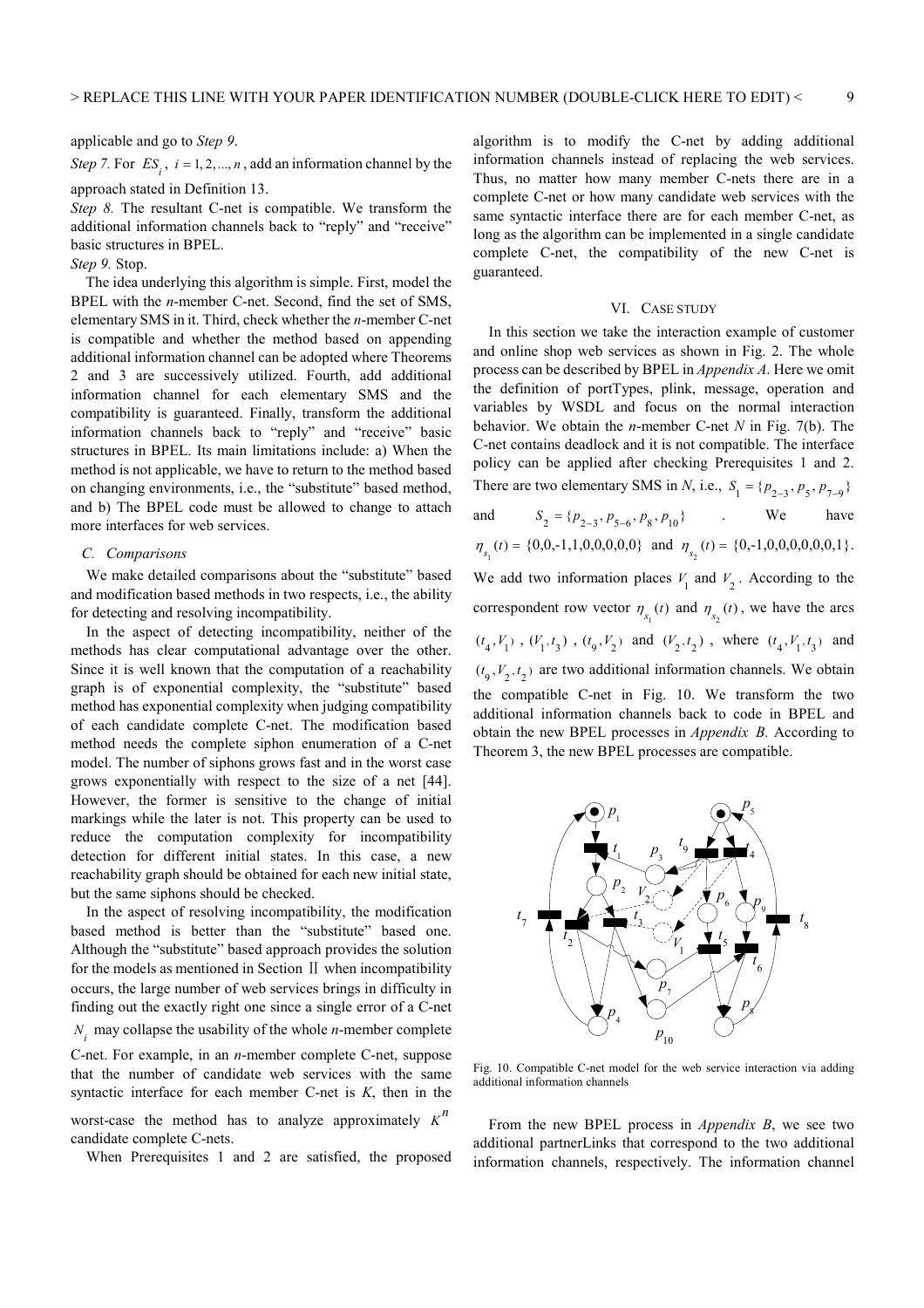applicable and go to *Step 9*.

*Step 7.* For  $ES_i$ ,  $i = 1, 2, ..., n$ , add an information channel by the approach stated in Definition 13.

*Step 8.* The resultant C-net is compatible. We transform the additional information channels back to "reply" and "receive" basic structures in BPEL.

# *Step 9.* Stop.

The idea underlying this algorithm is simple. First, model the BPEL with the *n*-member C-net. Second, find the set of SMS, elementary SMS in it. Third, check whether the *n*-member C-net is compatible and whether the method based on appending additional information channel can be adopted where Theorems 2 and 3 are successively utilized. Fourth, add additional information channel for each elementary SMS and the compatibility is guaranteed. Finally, transform the additional information channels back to "reply" and "receive" basic structures in BPEL. Its main limitations include: a) When the method is not applicable, we have to return to the method based on changing environments, i.e., the "substitute" based method, and b) The BPEL code must be allowed to change to attach more interfaces for web services.

# *C. Comparisons*

We make detailed comparisons about the "substitute" based and modification based methods in two respects, i.e., the ability for detecting and resolving incompatibility.

In the aspect of detecting incompatibility, neither of the methods has clear computational advantage over the other. Since it is well known that the computation of a reachability graph is of exponential complexity, the "substitute" based method has exponential complexity when judging compatibility of each candidate complete C-net. The modification based method needs the complete siphon enumeration of a C-net model. The number of siphons grows fast and in the worst case grows exponentially with respect to the size of a net [44]. However, the former is sensitive to the change of initial markings while the later is not. This property can be used to reduce the computation complexity for incompatibility detection for different initial states. In this case, a new reachability graph should be obtained for each new initial state, but the same siphons should be checked.

In the aspect of resolving incompatibility, the modification based method is better than the "substitute" based one. Although the "substitute" based approach provides the solution for the models as mentioned in Section Ⅱ when incompatibility occurs, the large number of web services brings in difficulty in finding out the exactly right one since a single error of a C-net  $N_i$  may collapse the usability of the whole *n*-member complete C-net. For example, in an *n*-member complete C-net, suppose that the number of candidate web services with the same syntactic interface for each member C-net is *K*, then in the worst-case the method has to analyze approximately  $K^n$ candidate complete C-nets.

When Prerequisites 1 and 2 are satisfied, the proposed

algorithm is to modify the C-net by adding additional information channels instead of replacing the web services. Thus, no matter how many member C-nets there are in a complete C-net or how many candidate web services with the same syntactic interface there are for each member C-net, as long as the algorithm can be implemented in a single candidate complete C-net, the compatibility of the new C-net is guaranteed.

#### VI. CASE STUDY

In this section we take the interaction example of customer and online shop web services as shown in Fig. 2. The whole process can be described by BPEL in *Appendix A*. Here we omit the definition of portTypes, plink, message, operation and variables by WSDL and focus on the normal interaction behavior. We obtain the *n*-member C-net *N* in Fig. 7(b). The C-net contains deadlock and it is not compatible. The interface policy can be applied after checking Prerequisites 1 and 2. There are two elementary SMS in *N*, i.e.,  $S_1 = \{p_{2-3}, p_5, p_{7-9}\}\$ and  $S_2 = \{p_{2-3}, p_{5-6}, p_8, p_{10}\}$  We have  $\eta_{s_1}(t) = \{0, 0, -1, 1, 0, 0, 0, 0, 0\}$  and  $\eta_{s_2}(t) = \{0, -1, 0, 0, 0, 0, 0, 0, 1\}.$ 

We add two information places  $V_1$  and  $V_2$ . According to the correspondent row vector  $\eta_{s_1}(t)$  and  $\eta_{s_2}(t)$ , we have the arcs  $(t_4, V_1)$ ,  $(V_1, t_3)$ ,  $(t_9, V_2)$  and  $(V_2, t_2)$ , where  $(t_4, V_1, t_3)$  and  $(t_0, V_2, t_2)$  are two additional information channels. We obtain the compatible C-net in Fig. 10. We transform the two additional information channels back to code in BPEL and obtain the new BPEL processes in *Appendix B.* According to Theorem 3, the new BPEL processes are compatible.



Fig. 10. Compatible C-net model for the web service interaction via adding additional information channels

From the new BPEL process in *Appendix B*, we see two additional partnerLinks that correspond to the two additional information channels, respectively. The information channel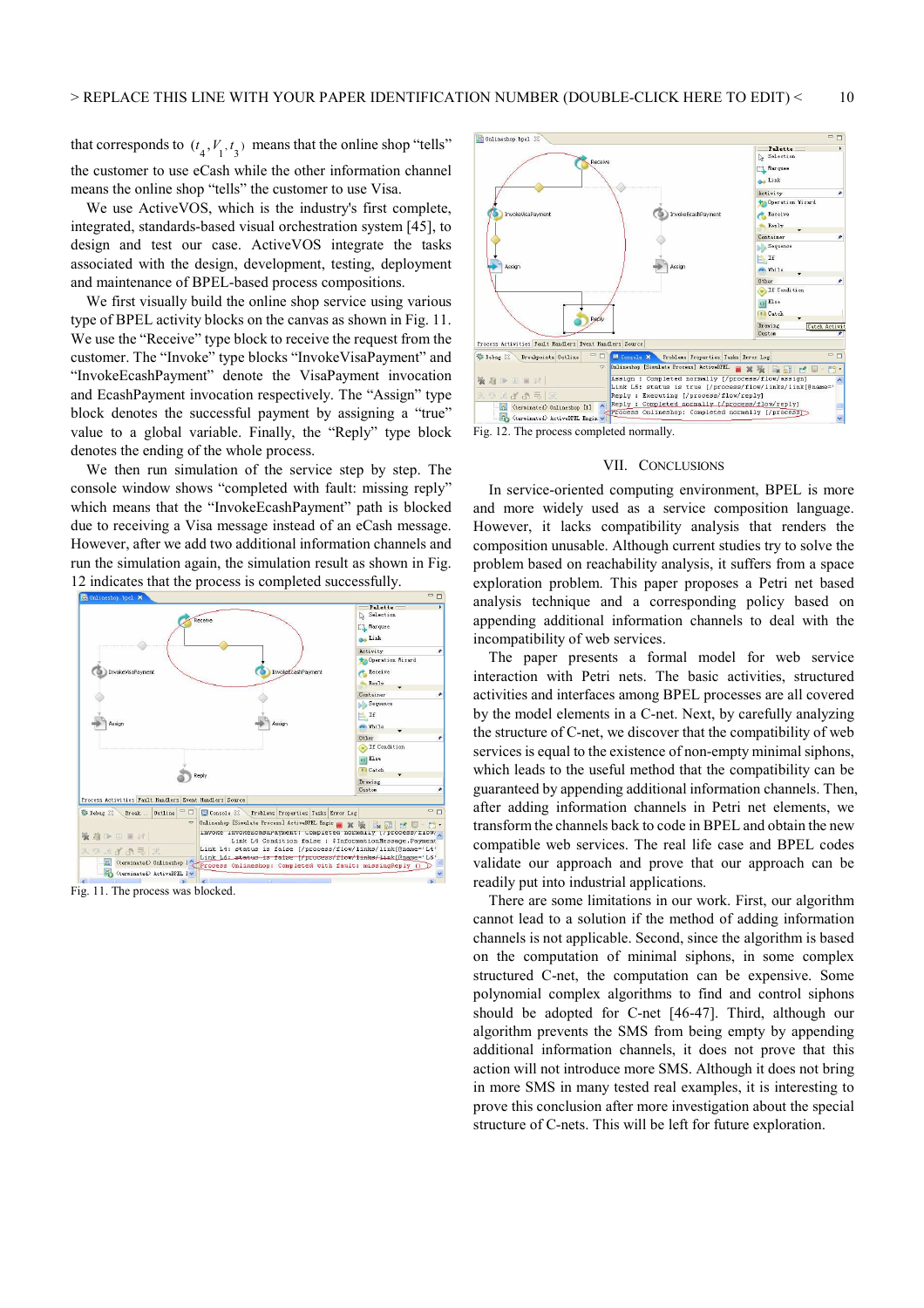that corresponds to  $(t_4, V_1, t_3)$  means that the online shop "tells" the customer to use eCash while the other information channel means the online shop "tells" the customer to use Visa.

We use ActiveVOS, which is the industry's first complete, integrated, standards-based visual orchestration system [45], to design and test our case. ActiveVOS integrate the tasks associated with the design, development, testing, deployment and maintenance of BPEL-based process compositions.

We first visually build the online shop service using various type of BPEL activity blocks on the canvas as shown in Fig. 11. We use the "Receive" type block to receive the request from the customer. The "Invoke" type blocks "InvokeVisaPayment" and "InvokeEcashPayment" denote the VisaPayment invocation and EcashPayment invocation respectively. The "Assign" type block denotes the successful payment by assigning a "true" value to a global variable. Finally, the "Reply" type block denotes the ending of the whole process.

We then run simulation of the service step by step. The console window shows "completed with fault: missing reply" which means that the "InvokeEcashPayment" path is blocked due to receiving a Visa message instead of an eCash message. However, after we add two additional information channels and run the simulation again, the simulation result as shown in Fig. 12 indicates that the process is completed successfully.



Fig. 11. The process was blocked.



## VII. CONCLUSIONS

In service-oriented computing environment, BPEL is more and more widely used as a service composition language. However, it lacks compatibility analysis that renders the composition unusable. Although current studies try to solve the problem based on reachability analysis, it suffers from a space exploration problem. This paper proposes a Petri net based analysis technique and a corresponding policy based on appending additional information channels to deal with the incompatibility of web services.

The paper presents a formal model for web service interaction with Petri nets. The basic activities, structured activities and interfaces among BPEL processes are all covered by the model elements in a C-net. Next, by carefully analyzing the structure of C-net, we discover that the compatibility of web services is equal to the existence of non-empty minimal siphons, which leads to the useful method that the compatibility can be guaranteed by appending additional information channels. Then, after adding information channels in Petri net elements, we transform the channels back to code in BPEL and obtain the new compatible web services. The real life case and BPEL codes validate our approach and prove that our approach can be readily put into industrial applications.

There are some limitations in our work. First, our algorithm cannot lead to a solution if the method of adding information channels is not applicable. Second, since the algorithm is based on the computation of minimal siphons, in some complex structured C-net, the computation can be expensive. Some polynomial complex algorithms to find and control siphons should be adopted for C-net [46-47]. Third, although our algorithm prevents the SMS from being empty by appending additional information channels, it does not prove that this action will not introduce more SMS. Although it does not bring in more SMS in many tested real examples, it is interesting to prove this conclusion after more investigation about the special structure of C-nets. This will be left for future exploration.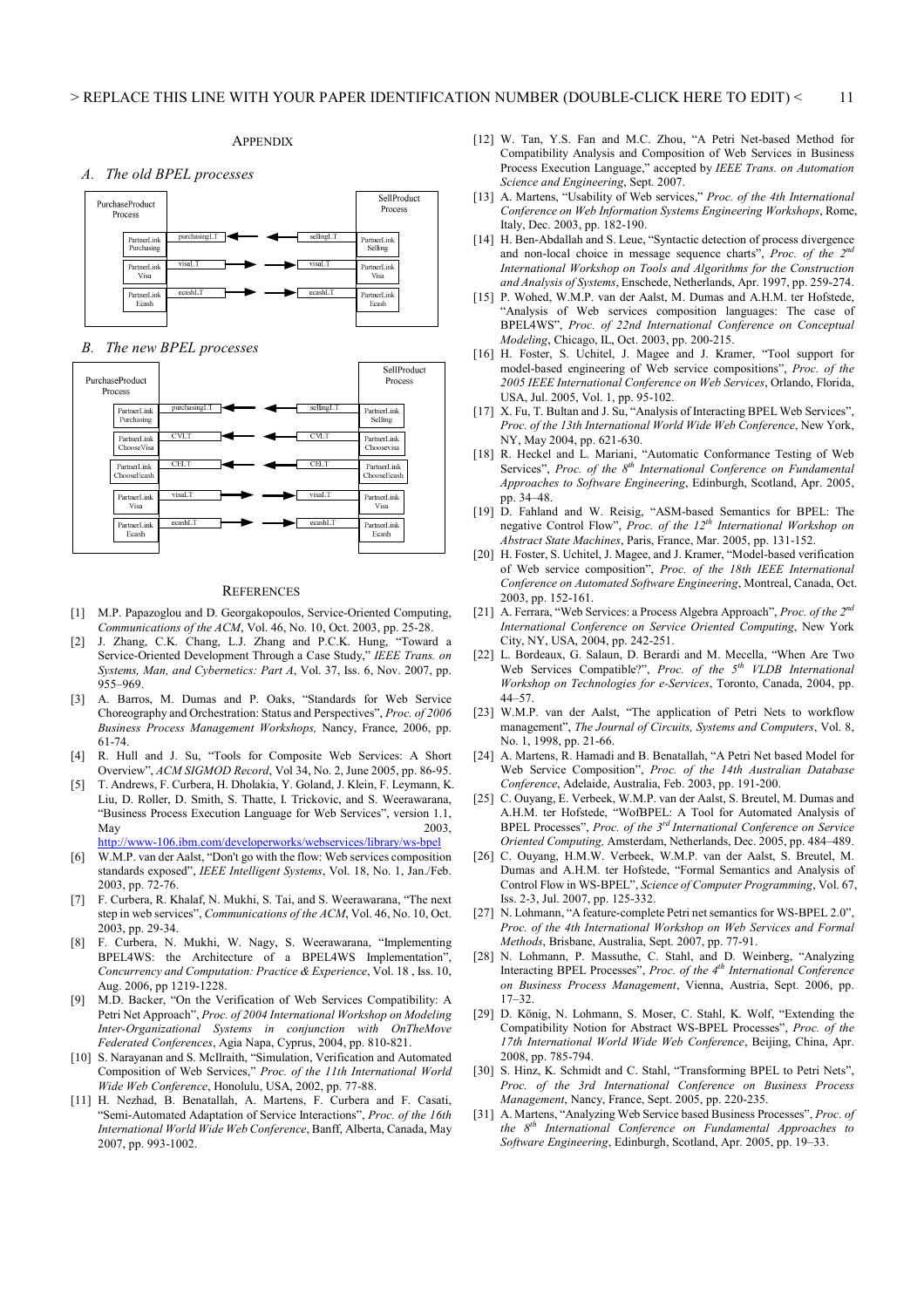#### *A. The old BPEL processes*



#### *B. The new BPEL processes*



#### **REFERENCES**

- [1] M.P. Papazoglou and D. Georgakopoulos, Service-Oriented Computing, *Communications of the ACM*, Vol. 46, No. 10, Oct. 2003, pp. 25-28.
- J. Zhang, C.K. Chang, L.J. Zhang and P.C.K. Hung, "Toward a Service-Oriented Development Through a Case Study," *IEEE Trans. on Systems, Man, and Cybernetics: Part A*, Vol. 37, Iss. 6, Nov. 2007, pp. 955–969.
- [3] A. Barros, M. Dumas and P. Oaks, "Standards for Web Service Choreography and Orchestration: Status and Perspectives", *Proc. of 2006 Business Process Management Workshops,* Nancy, France, 2006, pp. 61-74.
- [4] R. Hull and J. Su, "Tools for Composite Web Services: A Short Overview", *ACM SIGMOD Record*, Vol 34, No. 2, June 2005, pp. 86-95.
- [5] T. Andrews, F. Curbera, H. Dholakia, Y. Goland, J. Klein, F. Leymann, K. Liu, D. Roller, D. Smith, S. Thatte, I. Trickovic, and S. Weerawarana, "Business Process Execution Language for Web Services", version 1.1, May  $2003$ , http://www-106.ibm.com/developerworks/webservices/library/ws-bpel
- [6] W.M.P. van der Aalst, "Don't go with the flow: Web services composition standards exposed", *IEEE Intelligent Systems*, Vol. 18, No. 1, Jan./Feb. 2003, pp. 72-76.
- [7] F. Curbera, R. Khalaf, N. Mukhi, S. Tai, and S. Weerawarana, "The next step in web services", *Communications of the ACM*, Vol. 46, No. 10, Oct. 2003, pp. 29-34.
- [8] F. Curbera, N. Mukhi, W. Nagy, S. Weerawarana, "Implementing BPEL4WS: the Architecture of a BPEL4WS Implementation", *Concurrency and Computation: Practice & Experience*, Vol. 18 , Iss. 10, Aug. 2006, pp 1219-1228.
- [9] M.D. Backer, "On the Verification of Web Services Compatibility: A Petri Net Approach", *Proc. of 2004 International Workshop on Modeling Inter-Organizational Systems in conjunction with OnTheMove Federated Conferences*, Agia Napa, Cyprus, 2004, pp. 810-821.
- [10] S. Narayanan and S. McIlraith, "Simulation, Verification and Automated Composition of Web Services," *Proc. of the 11th International World Wide Web Conference*, Honolulu, USA, 2002, pp. 77-88.
- [11] H. Nezhad, B. Benatallah, A. Martens, F. Curbera and F. Casati, "Semi-Automated Adaptation of Service Interactions", *Proc. of the 16th International World Wide Web Conference*, Banff, Alberta, Canada, May 2007, pp. 993-1002.
- [12] W. Tan, Y.S. Fan and M.C. Zhou, "A Petri Net-based Method for Compatibility Analysis and Composition of Web Services in Business Process Execution Language," accepted by *IEEE Trans. on Automation Science and Engineering*, Sept. 2007.
- [13] A. Martens, "Usability of Web services," *Proc. of the 4th International Conference on Web Information Systems Engineering Workshops*, Rome, Italy, Dec. 2003, pp. 182-190.
- [14] H. Ben-Abdallah and S. Leue, "Syntactic detection of process divergence and non-local choice in message sequence charts", *Proc. of the 2<sup><i>n*</sup></sup> *International Workshop on Tools and Algorithms for the Construction and Analysis of Systems*, Enschede, Netherlands, Apr. 1997, pp. 259-274.
- [15] P. Wohed, W.M.P. van der Aalst, M. Dumas and A.H.M. ter Hofstede, "Analysis of Web services composition languages: The case of BPEL4WS", *Proc. of 22nd International Conference on Conceptual Modeling*, Chicago, IL, Oct. 2003, pp. 200-215.
- [16] H. Foster, S. Uchitel, J. Magee and J. Kramer, "Tool support for model-based engineering of Web service compositions", *Proc. of the 2005 IEEE International Conference on Web Services*, Orlando, Florida, USA, Jul. 2005, Vol. 1, pp. 95-102.
- [17] X. Fu, T. Bultan and J. Su, "Analysis of Interacting BPEL Web Services", *Proc. of the 13th International World Wide Web Conference*, New York, NY, May 2004, pp. 621-630.
- [18] R. Heckel and L. Mariani, "Automatic Conformance Testing of Web Services", *Proc. of the 8th International Conference on Fundamental Approaches to Software Engineering*, Edinburgh, Scotland, Apr. 2005, pp. 34–48.
- [19] D. Fahland and W. Reisig, "ASM-based Semantics for BPEL: The negative Control Flow", *Proc. of the 12th International Workshop on Abstract State Machines*, Paris, France, Mar. 2005, pp. 131-152.
- [20] H. Foster, S. Uchitel, J. Magee, and J. Kramer, "Model-based verification of Web service composition", *Proc. of the 18th IEEE International Conference on Automated Software Engineering*, Montreal, Canada, Oct. 2003, pp. 152-161.
- [21] A. Ferrara, "Web Services: a Process Algebra Approach", *Proc. of the 2nd International Conference on Service Oriented Computing*, New York City, NY, USA, 2004, pp. 242-251.
- [22] L. Bordeaux, G. Salaun, D. Berardi and M. Mecella, "When Are Two Web Services Compatible?", *Proc. of the 5<sup>th</sup> VLDB International Workshop on Technologies for e-Services*, Toronto, Canada, 2004, pp. 44–57.
- [23] W.M.P. van der Aalst, "The application of Petri Nets to workflow management", *The Journal of Circuits, Systems and Computers*, Vol. 8, No. 1, 1998, pp. 21-66.
- [24] A. Martens, R. Hamadi and B. Benatallah, "A Petri Net based Model for Web Service Composition", *Proc. of the 14th Australian Database Conference*, Adelaide, Australia, Feb. 2003, pp. 191-200.
- [25] C. Ouyang, E. Verbeek, W.M.P. van der Aalst, S. Breutel, M. Dumas and A.H.M. ter Hofstede, "WofBPEL: A Tool for Automated Analysis of BPEL Processes", *Proc. of the 3rd International Conference on Service Oriented Computing,* Amsterdam, Netherlands, Dec. 2005, pp. 484–489.
- [26] C. Ouyang, H.M.W. Verbeek, W.M.P. van der Aalst, S. Breutel, M. Dumas and A.H.M. ter Hofstede, "Formal Semantics and Analysis of Control Flow in WS-BPEL", *Science of Computer Programming*, Vol. 67, Iss. 2-3, Jul. 2007, pp. 125-332.
- [27] N. Lohmann, "A feature-complete Petri net semantics for WS-BPEL 2.0", *Proc. of the 4th International Workshop on Web Services and Formal Methods*, Brisbane, Australia, Sept. 2007, pp. 77-91.
- [28] N. Lohmann, P. Massuthe, C. Stahl, and D. Weinberg, "Analyzing Interacting BPEL Processes", *Proc. of the 4th International Conference on Business Process Management*, Vienna, Austria, Sept. 2006, pp.  $17-32.$
- [29] D. König, N. Lohmann, S. Moser, C. Stahl, K. Wolf, "Extending the Compatibility Notion for Abstract WS-BPEL Processes", *Proc. of the 17th International World Wide Web Conference*, Beijing, China, Apr. 2008, pp. 785-794.
- [30] S. Hinz, K. Schmidt and C. Stahl, "Transforming BPEL to Petri Nets", *Proc. of the 3rd International Conference on Business Process Management*, Nancy, France, Sept. 2005, pp. 220-235.
- [31] A. Martens, "Analyzing Web Service based Business Processes", *Proc. of the 8th International Conference on Fundamental Approaches to Software Engineering*, Edinburgh, Scotland, Apr. 2005, pp. 19–33.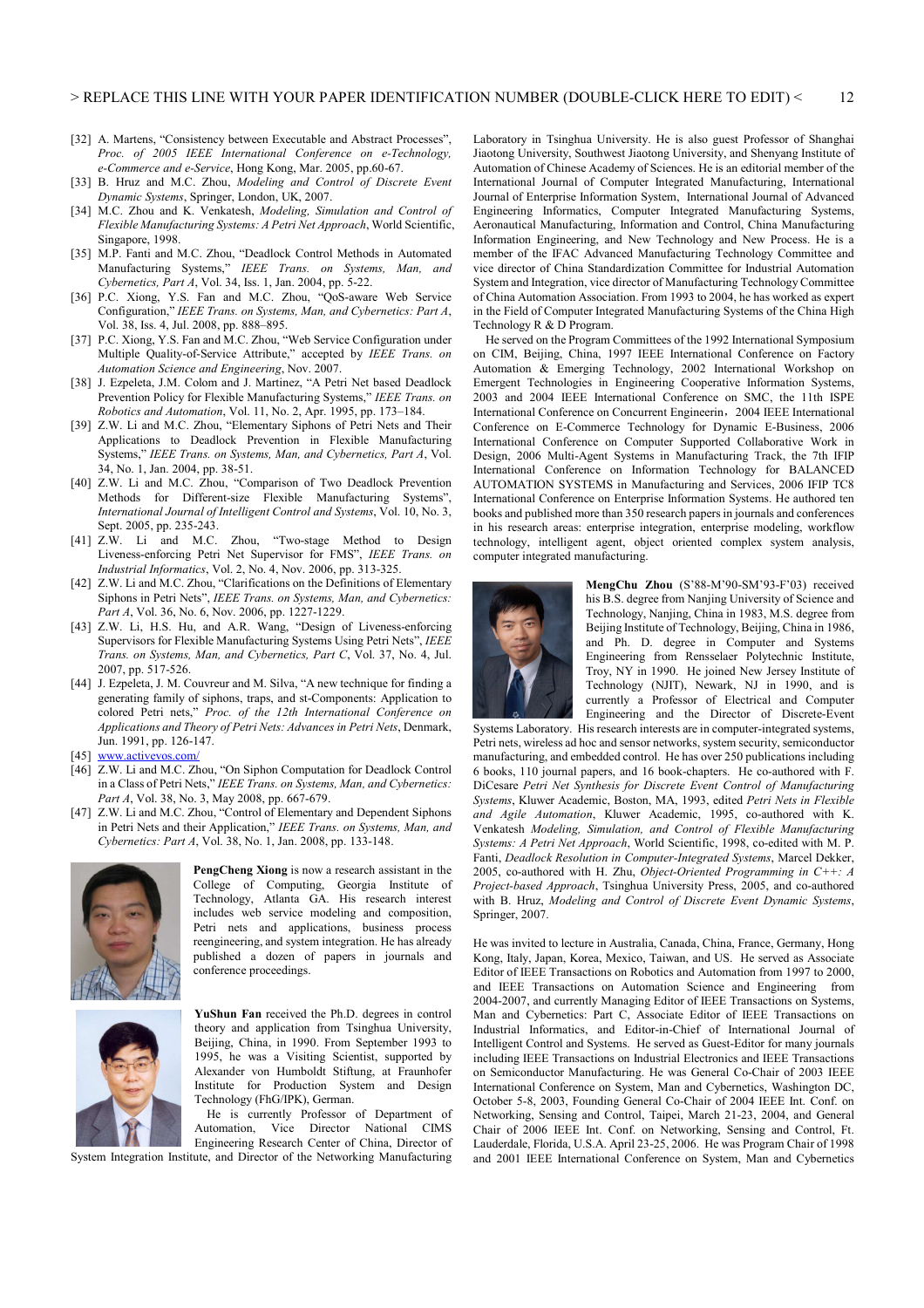- [32] A. Martens, "Consistency between Executable and Abstract Processes", *Proc. of 2005 IEEE International Conference on e-Technology, e-Commerce and e-Service*, Hong Kong, Mar. 2005, pp.60-67.
- [33] B. Hruz and M.C. Zhou, *Modeling and Control of Discrete Event Dynamic Systems*, Springer, London, UK, 2007.
- [34] M.C. Zhou and K. Venkatesh, *Modeling, Simulation and Control of Flexible Manufacturing Systems: A Petri Net Approach*, World Scientific, Singapore, 1998.
- [35] M.P. Fanti and M.C. Zhou, "Deadlock Control Methods in Automated Manufacturing Systems," *IEEE Trans. on Systems, Man, and Cybernetics, Part A*, Vol. 34, Iss. 1, Jan. 2004, pp. 5-22.
- [36] P.C. Xiong, Y.S. Fan and M.C. Zhou, "QoS-aware Web Service Configuration," *IEEE Trans. on Systems, Man, and Cybernetics: Part A*, Vol. 38, Iss. 4, Jul. 2008, pp. 888–895.
- [37] P.C. Xiong, Y.S. Fan and M.C. Zhou, "Web Service Configuration under Multiple Quality-of-Service Attribute," accepted by *IEEE Trans. on Automation Science and Engineering*, Nov. 2007.
- [38] J. Ezpeleta, J.M. Colom and J. Martinez, "A Petri Net based Deadlock Prevention Policy for Flexible Manufacturing Systems," *IEEE Trans. on Robotics and Automation*, Vol. 11, No. 2, Apr. 1995, pp. 173–184.
- [39] Z.W. Li and M.C. Zhou, "Elementary Siphons of Petri Nets and Their Applications to Deadlock Prevention in Flexible Manufacturing Systems," *IEEE Trans. on Systems, Man, and Cybernetics, Part A*, Vol. 34, No. 1, Jan. 2004, pp. 38-51.
- [40] Z.W. Li and M.C. Zhou, "Comparison of Two Deadlock Prevention Methods for Different-size Flexible Manufacturing Systems", *International Journal of Intelligent Control and Systems*, Vol. 10, No. 3, Sept. 2005, pp. 235-243.<br>[41] Z.W. Li and M.C.
- Zhou, "Two-stage Method to Design Liveness-enforcing Petri Net Supervisor for FMS", *IEEE Trans. on Industrial Informatics*, Vol. 2, No. 4, Nov. 2006, pp. 313-325.
- [42] Z.W. Li and M.C. Zhou, "Clarifications on the Definitions of Elementary Siphons in Petri Nets", *IEEE Trans. on Systems, Man, and Cybernetics: Part A*, Vol. 36, No. 6, Nov. 2006, pp. 1227-1229.
- [43] Z.W. Li, H.S. Hu, and A.R. Wang, "Design of Liveness-enforcing Supervisors for Flexible Manufacturing Systems Using Petri Nets", *IEEE Trans. on Systems, Man, and Cybernetics, Part C*, Vol. 37, No. 4, Jul. 2007, pp. 517-526.
- [44] J. Ezpeleta, J. M. Couvreur and M. Silva, "A new technique for finding a generating family of siphons, traps, and st-Components: Application to colored Petri nets," *Proc. of the 12th International Conference on Applications and Theory of Petri Nets: Advances in Petri Nets*, Denmark, Jun. 1991, pp. 126-147.
- [45] www.activevos.com/
- [46] Z.W. Li and M.C. Zhou, "On Siphon Computation for Deadlock Control in a Class of Petri Nets," *IEEE Trans. on Systems, Man, and Cybernetics: Part A*, Vol. 38, No. 3, May 2008, pp. 667-679.
- [47] Z.W. Li and M.C. Zhou, "Control of Elementary and Dependent Siphons in Petri Nets and their Application," *IEEE Trans. on Systems, Man, and Cybernetics: Part A*, Vol. 38, No. 1, Jan. 2008, pp. 133-148.



**PengCheng Xiong** is now a research assistant in the College of Computing, Georgia Institute of Technology, Atlanta GA. His research interest includes web service modeling and composition, Petri nets and applications, business process reengineering, and system integration. He has already published a dozen of papers in journals and conference proceedings.



**YuShun Fan** received the Ph.D. degrees in control theory and application from Tsinghua University, Beijing, China, in 1990. From September 1993 to 1995, he was a Visiting Scientist, supported by Alexander von Humboldt Stiftung, at Fraunhofer Institute for Production System and Design Technology (FhG/IPK), German.

He is currently Professor of Department of Automation, Vice Director National CIMS Engineering Research Center of China, Director of

System Integration Institute, and Director of the Networking Manufacturing

Laboratory in Tsinghua University. He is also guest Professor of Shanghai Jiaotong University, Southwest Jiaotong University, and Shenyang Institute of Automation of Chinese Academy of Sciences. He is an editorial member of the International Journal of Computer Integrated Manufacturing, International Journal of Enterprise Information System, International Journal of Advanced Engineering Informatics, Computer Integrated Manufacturing Systems, Aeronautical Manufacturing, Information and Control, China Manufacturing Information Engineering, and New Technology and New Process. He is a member of the IFAC Advanced Manufacturing Technology Committee and vice director of China Standardization Committee for Industrial Automation System and Integration, vice director of Manufacturing Technology Committee of China Automation Association. From 1993 to 2004, he has worked as expert in the Field of Computer Integrated Manufacturing Systems of the China High Technology R & D Program.

He served on the Program Committees of the 1992 International Symposium on CIM, Beijing, China, 1997 IEEE International Conference on Factory Automation & Emerging Technology, 2002 International Workshop on Emergent Technologies in Engineering Cooperative Information Systems, 2003 and 2004 IEEE International Conference on SMC, the 11th ISPE International Conference on Concurrent Engineerin,2004 IEEE International Conference on E-Commerce Technology for Dynamic E-Business, 2006 International Conference on Computer Supported Collaborative Work in Design, 2006 Multi-Agent Systems in Manufacturing Track, the 7th IFIP International Conference on Information Technology for BALANCED AUTOMATION SYSTEMS in Manufacturing and Services, 2006 IFIP TC8 International Conference on Enterprise Information Systems. He authored ten books and published more than 350 research papers in journals and conferences in his research areas: enterprise integration, enterprise modeling, workflow technology, intelligent agent, object oriented complex system analysis, computer integrated manufacturing.



**MengChu Zhou** (S'88-M'90-SM'93-F'03) received his B.S. degree from Nanjing University of Science and Technology, Nanjing, China in 1983, M.S. degree from Beijing Institute of Technology, Beijing, China in 1986, and Ph. D. degree in Computer and Systems Engineering from Rensselaer Polytechnic Institute, Troy, NY in 1990. He joined New Jersey Institute of Technology (NJIT), Newark, NJ in 1990, and is currently a Professor of Electrical and Computer Engineering and the Director of Discrete-Event

Systems Laboratory. His research interests are in computer-integrated systems, Petri nets, wireless ad hoc and sensor networks, system security, semiconductor manufacturing, and embedded control. He has over 250 publications including 6 books, 110 journal papers, and 16 book-chapters. He co-authored with F. DiCesare *Petri Net Synthesis for Discrete Event Control of Manufacturing Systems*, Kluwer Academic, Boston, MA, 1993, edited *Petri Nets in Flexible and Agile Automation*, Kluwer Academic, 1995, co-authored with K. Venkatesh *Modeling, Simulation, and Control of Flexible Manufacturing Systems: A Petri Net Approach*, World Scientific, 1998, co-edited with M. P. Fanti, *Deadlock Resolution in Computer-Integrated Systems*, Marcel Dekker, 2005, co-authored with H. Zhu, *Object-Oriented Programming in C++: A Project-based Approach*, Tsinghua University Press, 2005, and co-authored with B. Hruz, *Modeling and Control of Discrete Event Dynamic Systems*, Springer, 2007.

He was invited to lecture in Australia, Canada, China, France, Germany, Hong Kong, Italy, Japan, Korea, Mexico, Taiwan, and US. He served as Associate Editor of IEEE Transactions on Robotics and Automation from 1997 to 2000, and IEEE Transactions on Automation Science and Engineering from 2004-2007, and currently Managing Editor of IEEE Transactions on Systems, Man and Cybernetics: Part C, Associate Editor of IEEE Transactions on Industrial Informatics, and Editor-in-Chief of International Journal of Intelligent Control and Systems. He served as Guest-Editor for many journals including IEEE Transactions on Industrial Electronics and IEEE Transactions on Semiconductor Manufacturing. He was General Co-Chair of 2003 IEEE International Conference on System, Man and Cybernetics, Washington DC, October 5-8, 2003, Founding General Co-Chair of 2004 IEEE Int. Conf. on Networking, Sensing and Control, Taipei, March 21-23, 2004, and General Chair of 2006 IEEE Int. Conf. on Networking, Sensing and Control, Ft. Lauderdale, Florida, U.S.A. April 23-25, 2006. He was Program Chair of 1998 and 2001 IEEE International Conference on System, Man and Cybernetics